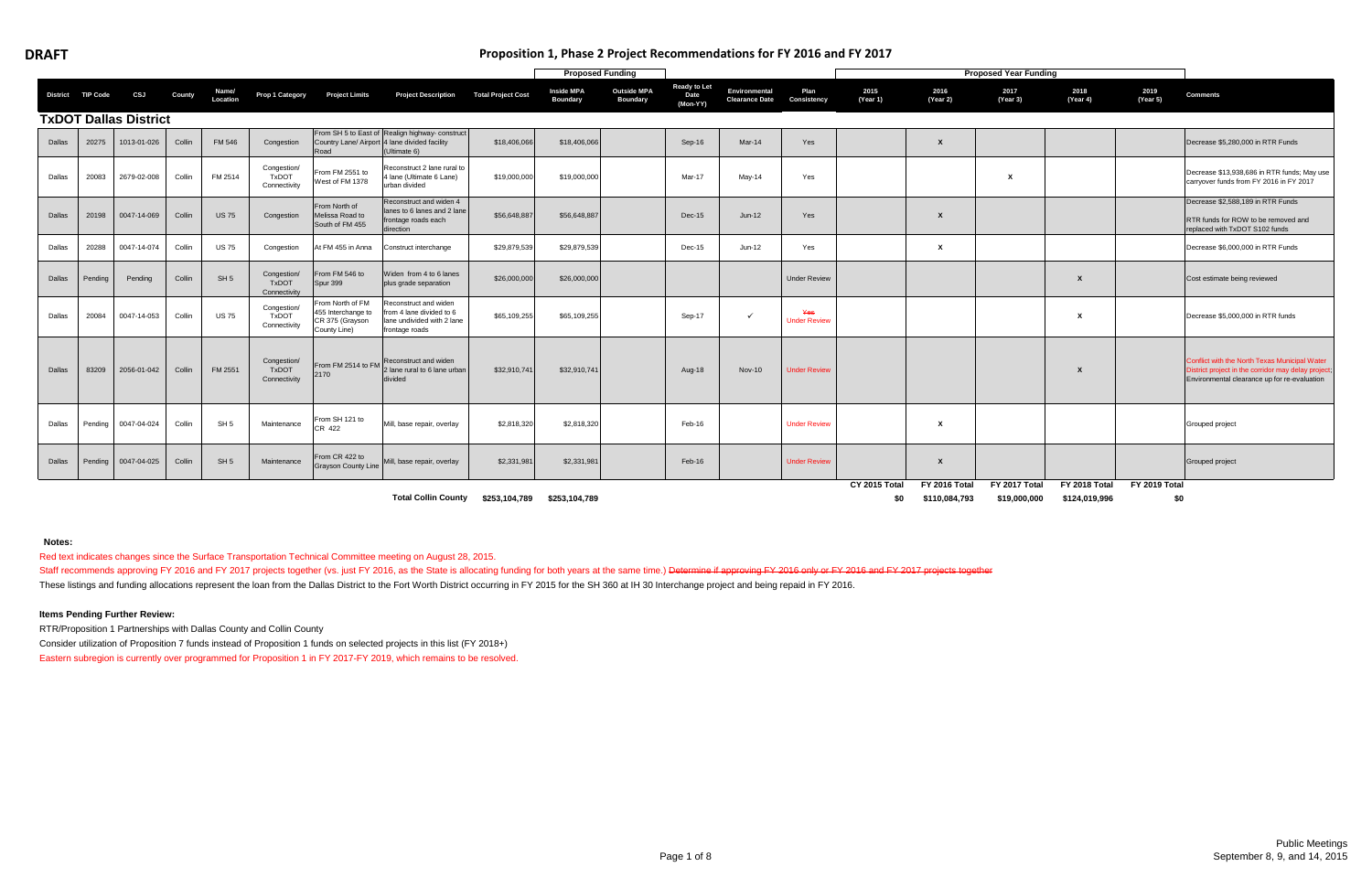|        |                   |                              |        |                   |                                             |                                                                           |                                                                                                                 |                           | <b>Proposed Funding</b>              |                                       |                                         |                                        |                            |                      |                                       | <b>Proposed Year Funding</b>         |                                |                      |                                                                                                                                                      |
|--------|-------------------|------------------------------|--------|-------------------|---------------------------------------------|---------------------------------------------------------------------------|-----------------------------------------------------------------------------------------------------------------|---------------------------|--------------------------------------|---------------------------------------|-----------------------------------------|----------------------------------------|----------------------------|----------------------|---------------------------------------|--------------------------------------|--------------------------------|----------------------|------------------------------------------------------------------------------------------------------------------------------------------------------|
|        | District TIP Code | CSJ                          | County | Name/<br>Location | Prop 1 Category                             | <b>Project Limits</b>                                                     | <b>Project Description</b>                                                                                      | <b>Total Project Cost</b> | <b>Inside MPA</b><br><b>Boundary</b> | <b>Outside MPA</b><br><b>Boundary</b> | <b>Ready to Let</b><br>Date<br>(Mon-YY) | Environmental<br><b>Clearance Date</b> | Plan<br><b>Consistency</b> | 2015<br>(Year 1)     | 2016<br>(Year 2)                      | 2017<br>(Year 3)                     | 2018<br>(Year 4)               | 2019<br>(Year 5)     | <b>Comments</b>                                                                                                                                      |
|        |                   | <b>TxDOT Dallas District</b> |        |                   |                                             |                                                                           |                                                                                                                 |                           |                                      |                                       |                                         |                                        |                            |                      |                                       |                                      |                                |                      |                                                                                                                                                      |
| Dallas | 20275             | 1013-01-026                  | Collin | <b>FM 546</b>     | Congestion                                  | रेoad                                                                     | From SH 5 to East of Realign highway- construct<br>Country Lane/ Airport 4 lane divided facility<br>Ultimate 6) | \$18,406,066              | \$18,406,066                         |                                       | Sep-16                                  | Mar-14                                 | Yes                        |                      | $\mathbf{x}$                          |                                      |                                |                      | Decrease \$5,280,000 in RTR Funds                                                                                                                    |
| Dallas | 20083             | 2679-02-008                  | Collin | FM 2514           | Congestion/<br><b>TxDOT</b><br>Connectivity | From FM 2551 to<br>West of FM 1378                                        | Reconstruct 2 lane rural to<br>1 lane (Ultimate 6 Lane)<br>urban divided                                        | \$19,000,000              | \$19,000,000                         |                                       | Mar-17                                  | $May-14$                               | Yes                        |                      |                                       | X                                    |                                |                      | Decrease \$13,938,686 in RTR funds; May use<br>carryover funds from FY 2016 in FY 2017                                                               |
| Dallas | 20198             | 0047-14-069                  | Collin | <b>US75</b>       | Congestion                                  | From North of<br>Melissa Road to<br>South of FM 455                       | Reconstruct and widen 4<br>lanes to 6 lanes and 2 lane<br>frontage roads each<br>direction                      | \$56,648,887              | \$56,648,887                         |                                       | Dec-15                                  | $Jun-12$                               | Yes                        |                      | X                                     |                                      |                                |                      | Decrease \$2,588,189 in RTR Funds<br>RTR funds for ROW to be removed and<br>replaced with TxDOT S102 funds                                           |
| Dallas | 20288             | 0047-14-074                  | Collin | <b>US75</b>       | Congestion                                  | At FM 455 in Anna                                                         | Construct interchange                                                                                           | \$29,879,539              | \$29,879,539                         |                                       | Dec-15                                  | Jun-12                                 | Yes                        |                      | X                                     |                                      |                                |                      | Decrease \$6,000,000 in RTR Funds                                                                                                                    |
| Dallas | Pendina           | Pending                      | Collin | SH <sub>5</sub>   | Congestion/<br><b>TxDOT</b><br>Connectivity | From FM 546 to<br>Spur 399                                                | Widen from 4 to 6 lanes<br>plus grade separation                                                                | \$26,000,000              | \$26,000,000                         |                                       |                                         |                                        | <b>Under Review</b>        |                      |                                       |                                      | X                              |                      | Cost estimate being reviewed                                                                                                                         |
| Dallas | 20084             | 0047-14-053                  | Collin | <b>US75</b>       | Congestion<br><b>TxDOT</b><br>Connectivity  | From North of FM<br>455 Interchange to<br>CR 375 (Grayson<br>County Line) | Reconstruct and widen<br>rom 4 lane divided to 6<br>lane undivided with 2 lane<br>frontage roads                | \$65,109,255              | \$65,109,255                         |                                       | Sep-17                                  | $\checkmark$                           | Yes<br><b>Under Review</b> |                      |                                       |                                      | х                              |                      | Decrease \$5,000,000 in RTR funds                                                                                                                    |
| Dallas | 83209             | 2056-01-042                  | Collin | FM 2551           | Congestion/<br><b>TxDOT</b><br>Connectivity | 2170                                                                      | From FM 2514 to FM Reconstruct and widen<br>2 lane rural to 6 lane urban<br>divided                             | \$32,910,741              | \$32,910,741                         |                                       | Aug-18                                  | <b>Nov-10</b>                          | <b>Under Review</b>        |                      |                                       |                                      | X                              |                      | Conflict with the North Texas Municipal Water<br>District project in the corridor may delay project;<br>Environmental clearance up for re-evaluation |
| Dallas | Pending           | 0047-04-024                  | Collin | SH <sub>5</sub>   | Maintenance                                 | From SH 121 to<br>CR 422                                                  | Mill, base repair, overlay                                                                                      | \$2,818,320               | \$2,818,320                          |                                       | Feb-16                                  |                                        | <b>Under Review</b>        |                      | X                                     |                                      |                                |                      | Grouped project                                                                                                                                      |
| Dallas | Pending           | 0047-04-025                  | Collin | SH <sub>5</sub>   | Maintenance                                 | From CR 422 to<br>Grayson County Line                                     | Mill, base repair, overlay                                                                                      | \$2,331,981               | \$2,331,981                          |                                       | Feb-16                                  |                                        | <b>Under Review</b>        |                      | X                                     |                                      |                                |                      | Grouped project                                                                                                                                      |
|        |                   |                              |        |                   |                                             |                                                                           | <b>Total Collin County</b>                                                                                      | \$253,104,789             | \$253,104,789                        |                                       |                                         |                                        |                            | CY 2015 Total<br>\$0 | <b>FY 2016 Total</b><br>\$110,084,793 | <b>FY 2017 Total</b><br>\$19,000,000 | FY 2018 Total<br>\$124,019,996 | FY 2019 Total<br>\$0 |                                                                                                                                                      |

# **Notes:**

Red text indicates changes since the Surface Transportation Technical Committee meeting on August 28, 2015.

Staff recommends approving FY 2016 and FY 2017 projects together (vs. just FY 2016, as the State is allocating funding for both years at the same time.) Determine if approving FY 2016 only or FY 2016 and FY 2017 projects t These listings and funding allocations represent the loan from the Dallas District to the Fort Worth District occurring in FY 2015 for the SH 360 at IH 30 Interchange project and being repaid in FY 2016.

### **Items Pending Further Review:**

RTR/Proposition 1 Partnerships with Dallas County and Collin County

Consider utilization of Proposition 7 funds instead of Proposition 1 funds on selected projects in this list (FY 2018+) Eastern subregion is currently over programmed for Proposition 1 in FY 2017-FY 2019, which remains to be resolved.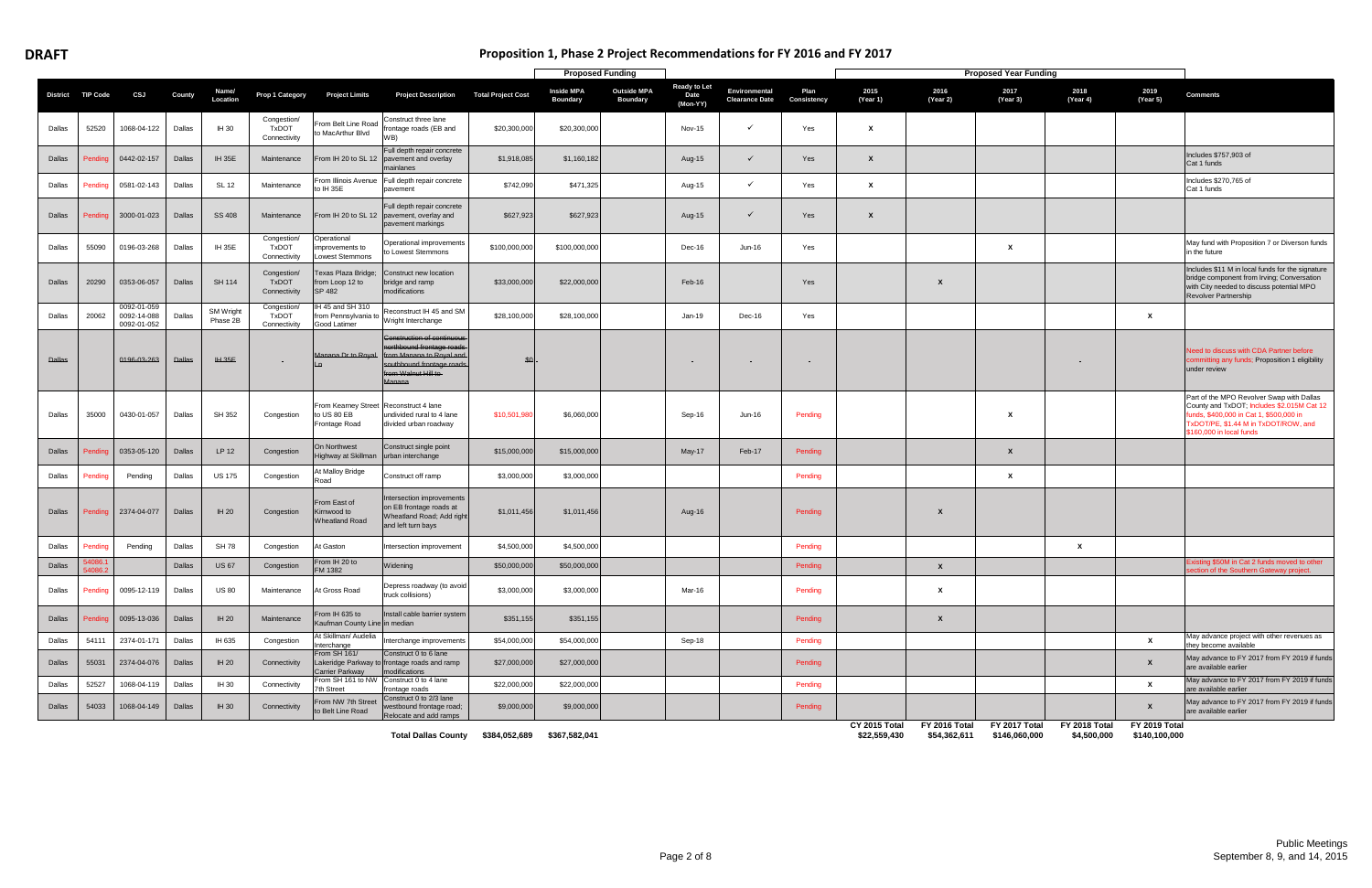# **Proposition 1, Phase 2 Project Recommendations for FY 2016 and FY 2017**

|               |                 |                                           |               |                       |                                             |                                                          |                                                                                                                                                                              |                           | <b>Proposed Funding</b>              |                                       |                                         |                                        |                     |                               |                               | <b>Proposed Year Funding</b>   |                              |                                |                                                                                                                                                                                                        |
|---------------|-----------------|-------------------------------------------|---------------|-----------------------|---------------------------------------------|----------------------------------------------------------|------------------------------------------------------------------------------------------------------------------------------------------------------------------------------|---------------------------|--------------------------------------|---------------------------------------|-----------------------------------------|----------------------------------------|---------------------|-------------------------------|-------------------------------|--------------------------------|------------------------------|--------------------------------|--------------------------------------------------------------------------------------------------------------------------------------------------------------------------------------------------------|
| District      | <b>TIP Code</b> | CSJ                                       | County        | Name/<br>Location     | Prop 1 Category                             | <b>Project Limits</b>                                    | <b>Project Description</b>                                                                                                                                                   | <b>Total Project Cost</b> | <b>Inside MPA</b><br><b>Boundary</b> | <b>Outside MPA</b><br><b>Boundary</b> | <b>Ready to Let</b><br>Date<br>(Mon-YY) | Environmental<br><b>Clearance Date</b> | Plan<br>Consistency | 2015<br>(Year 1)              | 2016<br>(Year 2)              | 2017<br>(Year 3)               | 2018<br>(Year 4)             | 2019<br>(Year 5)               | <b>Comments</b>                                                                                                                                                                                        |
| Dallas        | 52520           | 1068-04-122                               | Dallas        | IH 30                 | Congestion/<br><b>TxDOT</b><br>Connectivity | From Belt Line Road<br>to MacArthur Blvd                 | Construct three lane<br>rontage roads (EB and<br>WB)                                                                                                                         | \$20,300,000              | \$20,300,000                         |                                       | <b>Nov-15</b>                           | ✓                                      | Yes                 | X                             |                               |                                |                              |                                |                                                                                                                                                                                                        |
| Dallas        | Pendin          | 0442-02-157                               | Dallas        | <b>IH 35E</b>         | Maintenance                                 |                                                          | Full depth repair concrete<br>From IH 20 to SL 12 pavement and overlay<br>nainlanes                                                                                          | \$1,918,085               | \$1,160,182                          |                                       | Aug-15                                  | ✓                                      | Yes                 | $\boldsymbol{\mathsf{x}}$     |                               |                                |                              |                                | Includes \$757,903 of<br>Cat 1 funds                                                                                                                                                                   |
| Dallas        | Pending         | 0581-02-143                               | Dallas        | SL 12                 | Maintenance                                 | From Illinois Avenue<br>to IH 35E                        | Full depth repair concrete<br>pavement                                                                                                                                       | \$742,090                 | \$471,325                            |                                       | Aug-15                                  | ✓                                      | Yes                 | X                             |                               |                                |                              |                                | Includes \$270,765 of<br>Cat 1 funds                                                                                                                                                                   |
| Dallas        | Pendino         | 3000-01-023                               | Dallas        | <b>SS 408</b>         | Maintenance                                 |                                                          | Full depth repair concrete<br>From IH 20 to SL 12 pavement, overlay and<br>pavement markings                                                                                 | \$627,923                 | \$627,923                            |                                       | Aug-15                                  | $\checkmark$                           | Yes                 | $\boldsymbol{\mathsf{x}}$     |                               |                                |                              |                                |                                                                                                                                                                                                        |
| Dallas        | 55090           | 0196-03-268                               | Dallas        | <b>IH 35E</b>         | Congestion/<br><b>TxDOT</b><br>Connectivity | Operational<br>improvements to<br>Lowest Stemmons        | Operational improvements<br>to Lowest Stemmons                                                                                                                               | \$100,000,000             | \$100,000,000                        |                                       | Dec-16                                  | Jun-16                                 | Yes                 |                               |                               | X                              |                              |                                | May fund with Proposition 7 or Diverson funds<br>in the future                                                                                                                                         |
| Dallas        | 20290           | 0353-06-057                               | Dallas        | SH 114                | Congestion/<br><b>TxDOT</b><br>Connectivity | Texas Plaza Bridge;<br>from Loop 12 to<br>SP 482         | Construct new location<br>bridge and ramp<br>modifications                                                                                                                   | \$33,000,000              | \$22,000,000                         |                                       | Feb-16                                  |                                        | Yes                 |                               | $\boldsymbol{\mathsf{x}}$     |                                |                              |                                | Includes \$11 M in local funds for the signature<br>bridge component from Irving; Conversation<br>with City needed to discuss potential MPO<br>Revolver Partnership                                    |
| Dallas        | 20062           | 0092-01-059<br>0092-14-088<br>0092-01-052 | Dallas        | SM Wright<br>Phase 2B | Congestion<br><b>TxDOT</b><br>Connectivity  | IH 45 and SH 310<br>from Pennsylvania to<br>Good Latimer | econstruct IH 45 and SM<br>right Interchange                                                                                                                                 | \$28,100,000              | \$28,100,000                         |                                       | Jan-19                                  | Dec-16                                 | Yes                 |                               |                               |                                |                              | $\boldsymbol{\mathsf{x}}$      |                                                                                                                                                                                                        |
| <b>Dallas</b> |                 | 0196-03-263                               | <b>Dallas</b> | <b>IH 35E</b>         | $\sim$                                      |                                                          | <b>Construction of continuous</b><br>northbound frontage roads<br>Manana Dr to Royal from Manana to Royal and<br>southbound frontage roads<br>from Walnut Hill to-<br>Manana | \$0                       |                                      |                                       |                                         | and in                                 | $\sim$ $-$          |                               |                               |                                |                              |                                | eed to discuss with CDA Partner before<br>ommitting any funds; Proposition 1 eligibility<br>under review                                                                                               |
| Dallas        | 35000           | 0430-01-057                               | Dallas        | SH 352                | Congestion                                  | From Kearney Street<br>to US 80 EB<br>Frontage Road      | Reconstruct 4 lane<br>undivided rural to 4 lane<br>divided urban roadway                                                                                                     | \$10,501,980              | \$6,060,000                          |                                       | Sep-16                                  | Jun-16                                 | Pending             |                               |                               | X                              |                              |                                | Part of the MPO Revolver Swap with Dallas<br>County and TxDOT; Includes \$2.015M Cat 12<br>funds, \$400,000 in Cat 1, \$500,000 in<br>TxDOT/PE, \$1.44 M in TxDOT/ROW, and<br>\$160,000 in local funds |
| Dallas        |                 | 0353-05-120                               | Dallas        | LP 12                 | Congestion                                  | On Northwest<br>Highway at Skillman urban interchange    | Construct single point                                                                                                                                                       | \$15,000,000              | \$15,000,000                         |                                       | $May-17$                                | Feb-17                                 | Pending             |                               |                               | $\boldsymbol{\mathsf{x}}$      |                              |                                |                                                                                                                                                                                                        |
| Dallas        | Pendinc         | Pending                                   | Dallas        | <b>US 175</b>         | Congestion                                  | t Malloy Bridge<br>रेoad                                 | Construct off ramp                                                                                                                                                           | \$3,000,000               | \$3,000,000                          |                                       |                                         |                                        | Pending             |                               |                               | X                              |                              |                                |                                                                                                                                                                                                        |
| Dallas        | Pendinc         | 2374-04-077                               | Dallas        | <b>IH 20</b>          | Congestion                                  | From East of<br>Kirnwood to<br><b>Wheatland Road</b>     | Intersection improvements<br>on EB frontage roads at<br>Wheatland Road; Add right<br>and left turn bays                                                                      | \$1,011,456               | \$1,011,456                          |                                       | Aug-16                                  |                                        | Pending             |                               | X                             |                                |                              |                                |                                                                                                                                                                                                        |
| Dallas        | Pendinc         | Pending                                   | Dallas        | <b>SH 78</b>          | Congestion                                  | At Gaston                                                | ntersection improvement                                                                                                                                                      | \$4,500,000               | \$4,500,000                          |                                       |                                         |                                        | Pending             |                               |                               |                                | X                            |                                |                                                                                                                                                                                                        |
| Dallas        | 54086.          |                                           | Dallas        | <b>US67</b>           | Congestion                                  | From IH 20 to<br>M 1382                                  | Widening                                                                                                                                                                     | \$50,000,000              | \$50,000,000                         |                                       |                                         |                                        | Pending             |                               | $\mathbf{x}$                  |                                |                              |                                | xisting \$50M in Cat 2 funds moved to other<br>on of the Southern Gateway project                                                                                                                      |
| Dallas        | Pending         | 0095-12-119                               | Dallas        | <b>US 80</b>          | Maintenance                                 | At Gross Road                                            | Depress roadway (to avoid<br>truck collisions)                                                                                                                               | \$3,000,000               | \$3,000,000                          |                                       | Mar-16                                  |                                        | Pending             |                               | $\mathbf{x}$                  |                                |                              |                                |                                                                                                                                                                                                        |
| Dallas        | Pending         | 0095-13-036                               | Dallas        | IH 20                 | Maintenance                                 | From IH 635 to<br>Kaufman County Line in median          | Install cable barrier system                                                                                                                                                 | \$351,155                 | \$351,155                            |                                       |                                         |                                        | Pending             |                               | $\boldsymbol{x}$              |                                |                              |                                |                                                                                                                                                                                                        |
| Dallas        | 54111           | 2374-01-171                               | Dallas        | IH 635                | Congestion                                  | At Skillman/ Audelia<br>nterchange                       | nterchange improvements                                                                                                                                                      | \$54,000,000              | \$54,000,000                         |                                       | Sep-18                                  |                                        | Pending             |                               |                               |                                |                              | $\mathbf{x}$                   | May advance project with other revenues as<br>they become available                                                                                                                                    |
| Dallas        | 55031           | 2374-04-076                               | Dallas        | <b>IH 20</b>          | Connectivity                                | From SH 161/<br>Carrier Parkway                          | Construct 0 to 6 lane<br>Lakeridge Parkway to frontage roads and ramp<br>modifications                                                                                       | \$27,000,000              | \$27,000,000                         |                                       |                                         |                                        | Pending             |                               |                               |                                |                              | $\mathsf{x}$                   | May advance to FY 2017 from FY 2019 if funds<br>are available earlier                                                                                                                                  |
| Dallas        | 52527           | 1068-04-119                               | Dallas        | IH 30                 | Connectivity                                | From SH 161 to NW<br>th Street                           | Construct 0 to 4 lane<br>frontage roads                                                                                                                                      | \$22,000,000              | \$22,000,000                         |                                       |                                         |                                        | Pending             |                               |                               |                                |                              | $\mathbf{x}$                   | May advance to FY 2017 from FY 2019 if funds<br>are available earlier                                                                                                                                  |
| Dallas        | 54033           | 1068-04-149                               | Dallas        | IH 30                 | Connectivity                                | From NW 7th Street<br>to Belt Line Road                  | Construct 0 to 2/3 lane<br>westbound frontage road;<br>Relocate and add ramps                                                                                                | \$9,000,000               | \$9,000,000                          |                                       |                                         |                                        | Pending             |                               |                               |                                |                              | $\mathbf{x}$                   | May advance to FY 2017 from FY 2019 if funds<br>are available earlier                                                                                                                                  |
|               |                 |                                           |               |                       |                                             |                                                          | <b>Total Dallas County</b>                                                                                                                                                   | \$384,052,689             | \$367,582,041                        |                                       |                                         |                                        |                     | CY 2015 Total<br>\$22,559,430 | FY 2016 Total<br>\$54,362,611 | FY 2017 Total<br>\$146,060,000 | FY 2018 Total<br>\$4,500,000 | FY 2019 Total<br>\$140,100,000 |                                                                                                                                                                                                        |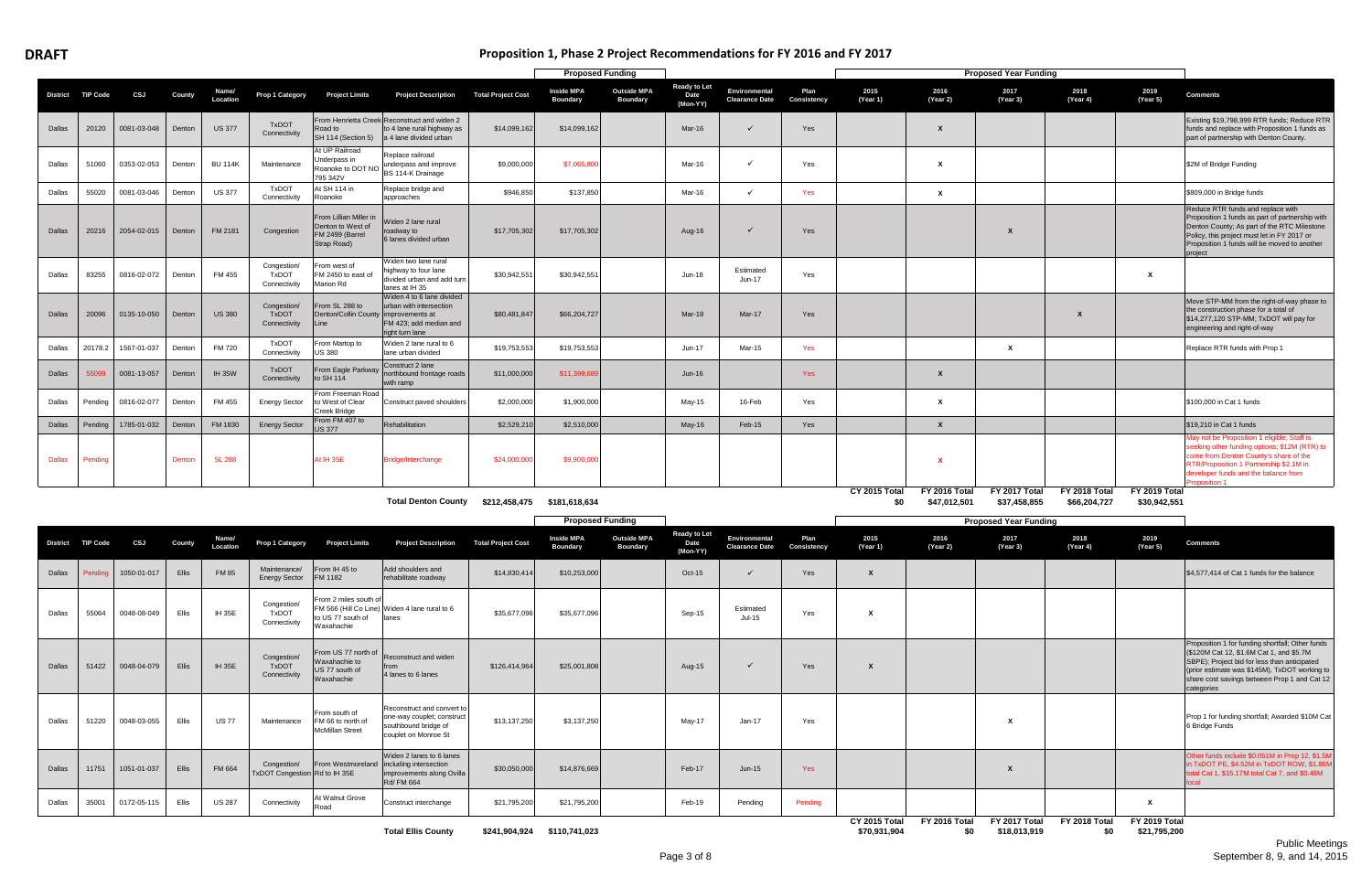| Proposition 1, Phase 2 Project Recommendations for FY 2016 and FY 2017 |
|------------------------------------------------------------------------|
|                                                                        |

|               |                 |             |        |                   |                                             |                                                                               |                                                                                                      |                           | <b>Proposed Funding</b>              |                                       |                                         |                                        |                     |                      |                               | <b>Proposed Year Funding</b>  |                                      |                               |                                                                                                                                                                                                                                               |
|---------------|-----------------|-------------|--------|-------------------|---------------------------------------------|-------------------------------------------------------------------------------|------------------------------------------------------------------------------------------------------|---------------------------|--------------------------------------|---------------------------------------|-----------------------------------------|----------------------------------------|---------------------|----------------------|-------------------------------|-------------------------------|--------------------------------------|-------------------------------|-----------------------------------------------------------------------------------------------------------------------------------------------------------------------------------------------------------------------------------------------|
| District      | <b>TIP Code</b> | CSJ         | County | Name/<br>Location | Prop 1 Category                             | <b>Project Limits</b>                                                         | <b>Project Description</b>                                                                           | <b>Total Project Cost</b> | <b>Inside MPA</b><br><b>Boundary</b> | <b>Outside MPA</b><br><b>Boundary</b> | <b>Ready to Let</b><br>Date<br>(Mon-YY) | Environmental<br><b>Clearance Date</b> | Plan<br>Consistency | 2015<br>(Year 1)     | 2016<br>(Year 2)              | 2017<br>(Year 3)              | 2018<br>(Year 4)                     | 2019<br>(Year 5)              | <b>Comments</b>                                                                                                                                                                                                                               |
| Dallas        | 20120           | 0081-03-048 | Denton | <b>US 377</b>     | <b>TxDOT</b><br>Connectivity                | Road to<br>SH 114 (Section 5)                                                 | From Henrietta Creek Reconstruct and widen 2<br>to 4 lane rural highway as<br>a 4 lane divided urban | \$14,099,162              | \$14,099,162                         |                                       | Mar-16                                  |                                        | Yes                 |                      | X                             |                               |                                      |                               | Existing \$19,798,999 RTR funds; Reduce RTR<br>funds and replace with Proposition 1 funds as<br>part of partnership with Denton County.                                                                                                       |
| Dallas        | 51060           | 0353-02-053 | Denton | <b>BU 114K</b>    | Maintenance                                 | At UP Railroad<br>Jnderpass in<br>Roanoke to DOT NO<br>795 342V               | Replace railroad<br>underpass and improve<br>BS 114-K Drainage                                       | \$9,000,000               | \$7,065,80                           |                                       | Mar-16                                  | ✓                                      | Yes                 |                      | X                             |                               |                                      |                               | \$2M of Bridge Funding                                                                                                                                                                                                                        |
| Dallas        | 55020           | 0081-03-046 | Denton | <b>US 377</b>     | <b>TxDOT</b><br>Connectivity                | At SH 114 in<br>Roanoke                                                       | Replace bridge and<br>approaches                                                                     | \$946,850                 | \$137,850                            |                                       | Mar-16                                  | $\checkmark$                           | Yes                 |                      | X                             |                               |                                      |                               | \$809,000 in Bridge funds                                                                                                                                                                                                                     |
| Dallas        | 20216           | 2054-02-015 | Denton | FM 2181           | Congestion                                  | From Lillian Miller in<br>Denton to West of<br>FM 2499 (Barrel<br>Strap Road) | Widen 2 lane rural<br>roadway to<br>6 lanes divided urban                                            | \$17,705,302              | \$17,705,302                         |                                       | Aug-16                                  |                                        | Yes                 |                      |                               | X                             |                                      |                               | Reduce RTR funds and replace with<br>Proposition 1 funds as part of partnership with<br>Denton County; As part of the RTC Milestone<br>Policy, this project must let in FY 2017 or<br>Proposition 1 funds will be moved to another<br>project |
| Dallas        | 83255           | 0816-02-072 | Denton | FM 455            | Congestion/<br><b>TxDOT</b><br>Connectivity | From west of<br>FM 2450 to east o<br>Marion Rd                                | Widen two lane rural<br>highway to four lane<br>divided urban and add turn<br>lanes at IH 35         | \$30.942.551              | \$30,942,55                          |                                       | Jun-18                                  | Estimated<br>Jun-17                    | Yes                 |                      |                               |                               |                                      | $\mathbf{x}$                  |                                                                                                                                                                                                                                               |
| Dallas        | 20096           | 0135-10-050 | Denton | <b>US 380</b>     | Congestion/<br><b>TxDOT</b><br>Connectivity | From SL 288 to<br>Denton/Collin County improvements at<br>Line                | Widen 4 to 6 lane divided<br>urban with intersection<br>FM 423; add median and<br>right turn lane    | \$80,481,847              | \$66,204,727                         |                                       | Mar-18                                  | $Mar-17$                               | Yes                 |                      |                               |                               | $\mathbf{x}$                         |                               | Move STP-MM from the right-of-way phase to<br>the construction phase for a total of<br>\$14,277,120 STP-MM; TxDOT will pay for<br>engineering and right-of-way                                                                                |
| Dallas        | 20178.2         | 1567-01-037 | Denton | <b>FM 720</b>     | <b>TxDOT</b><br>Connectivity                | From Martop to<br><b>US 380</b>                                               | Widen 2 lane rural to 6<br>lane urban divided                                                        | \$19,753,553              | \$19,753,553                         |                                       | Jun-17                                  | Mar-15                                 | Yes                 |                      |                               | x                             |                                      |                               | Replace RTR funds with Prop 1                                                                                                                                                                                                                 |
| Dallas        | 55099           | 0081-13-057 | Denton | <b>IH 35W</b>     | <b>TxDOT</b><br>Connectivity                | From Eagle Parkway<br>to SH 114                                               | Construct 2 lane<br>northbound frontage roads<br>with ramp                                           | \$11,000,000              | \$11,399,68                          |                                       | $Jun-16$                                |                                        | Yes                 |                      | $\mathbf{x}$                  |                               |                                      |                               |                                                                                                                                                                                                                                               |
| Dallas        | Pending         | 0816-02-077 | Denton | FM 455            | <b>Energy Sector</b>                        | From Freeman Road<br>to West of Clear<br>Creek Bridge                         | Construct paved shoulders                                                                            | \$2,000,000               | \$1,900,000                          |                                       | May-15                                  | 16-Feb                                 | Yes                 |                      | X                             |                               |                                      |                               | \$100,000 in Cat 1 funds                                                                                                                                                                                                                      |
| Dallas        | Pending         | 1785-01-032 | Denton | FM 1830           | <b>Energy Sector</b>                        | From FM 407 to<br>S 377                                                       | Rehabilitation                                                                                       | \$2,529,210               | \$2,510,000                          |                                       | $May-16$                                | Feb-15                                 | Yes                 |                      | $\mathbf{x}$                  |                               |                                      |                               | \$19,210 in Cat 1 funds                                                                                                                                                                                                                       |
| <b>Dallas</b> | Pending         |             | Denton | <b>SL 288</b>     |                                             | At IH 35E                                                                     | Bridge/Interchange                                                                                   | \$24,000,000              | \$9,900,000                          |                                       |                                         |                                        |                     |                      |                               |                               |                                      |                               | lay not be Proposition 1 eligible; Staff is<br>seeking other funding options; \$12M (RTR) to<br>come from Denton County's share of the<br>RTR/Proposition 1 Partnership \$2.1M in<br>developer funds and the balance from<br>roposition 1     |
|               |                 |             |        |                   |                                             |                                                                               | <b>Total Denton County</b>                                                                           |                           | \$212,458,475 \$181,618,634          |                                       |                                         |                                        |                     | CY 2015 Total<br>\$0 | FY 2016 Total<br>\$47,012,501 | FY 2017 Total<br>\$37,458,855 | <b>FY 2018 Total</b><br>\$66,204,727 | FY 2019 Total<br>\$30,942,551 |                                                                                                                                                                                                                                               |

|                 |                 |             |        |                   |                                              |                                                                      |                                                                                                                 |                           |                                      | <b>Proposed Funding</b>               |                                                |                                        |                     |                                      |                      | <b>Proposed Year Funding</b>  |                      |                               |                                                                                                                                                                                                                                                             |
|-----------------|-----------------|-------------|--------|-------------------|----------------------------------------------|----------------------------------------------------------------------|-----------------------------------------------------------------------------------------------------------------|---------------------------|--------------------------------------|---------------------------------------|------------------------------------------------|----------------------------------------|---------------------|--------------------------------------|----------------------|-------------------------------|----------------------|-------------------------------|-------------------------------------------------------------------------------------------------------------------------------------------------------------------------------------------------------------------------------------------------------------|
| <b>District</b> | <b>TIP Code</b> | CSJ         | County | Name/<br>Location | Prop 1 Category                              | <b>Project Limits</b>                                                | <b>Project Description</b>                                                                                      | <b>Total Project Cost</b> | <b>Inside MPA</b><br><b>Boundary</b> | <b>Outside MPA</b><br><b>Boundary</b> | <b>Ready to Let</b><br><b>Date</b><br>(Mon-YY) | Environmental<br><b>Clearance Date</b> | Plan<br>Consistency | 2015<br>(Year 1)                     | 2016<br>(Year 2)     | 2017<br>(Year 3)              | 2018<br>(Year 4)     | 2019<br>(Year 5)              | <b>Comments</b>                                                                                                                                                                                                                                             |
| Dallas          | Pendinc         | 1050-01-017 | Ellis  | <b>FM 85</b>      | Maintenance/<br><b>Energy Sector</b>         | From IH 45 to<br><b>FM 1182</b>                                      | Add shoulders and<br>rehabilitate roadway                                                                       | \$14,830,414              | \$10,253,000                         |                                       | Oct-15                                         |                                        | Yes                 |                                      |                      |                               |                      |                               | \$4,577,414 of Cat 1 funds for the balance                                                                                                                                                                                                                  |
| Dallas          | 55064           | 0048-08-049 | Ellis  | <b>IH 35E</b>     | Congestion/<br><b>TxDOT</b><br>Connectivity  | From 2 miles south of<br>to US 77 south of<br>Waxahachie             | FM 566 (Hill Co Line) Widen 4 lane rural to 6<br>lanes                                                          | \$35,677,096              | \$35,677,096                         |                                       | Sep-15                                         | Estimated<br>Jul-15                    | Yes                 |                                      |                      |                               |                      |                               |                                                                                                                                                                                                                                                             |
| Dallas          | 51422           | 0048-04-079 | Ellis  | <b>IH 35E</b>     | Congestion/<br><b>TxDOT</b><br>Connectivity  | From US 77 north of<br>Waxahachie to<br>US 77 south of<br>Waxahachie | Reconstruct and widen<br>from<br>4 lanes to 6 lanes                                                             | \$126,414,964             | \$25,001,808                         |                                       | Aug-15                                         |                                        | Yes                 |                                      |                      |                               |                      |                               | Proposition 1 for funding shortfall; Other funds<br>(\$120M Cat 12, \$1.6M Cat 1, and \$5.7M<br>SBPE); Project bid for less than anticipated<br>(prior estimate was \$145M), TxDOT working to<br>share cost savings between Prop 1 and Cat 12<br>categories |
| Dallas          | 51220           | 0048-03-055 | Ellis  | <b>US77</b>       | Maintenance                                  | From south of<br>FM 66 to north of<br><b>McMillan Street</b>         | Reconstruct and convert to<br>one-way couplet; construct<br>southbound bridge of<br>couplet on Monroe St        | \$13,137,250              | \$3,137,250                          |                                       | May-17                                         | Jan-17                                 | Yes                 |                                      |                      |                               |                      |                               | Prop 1 for funding shortfall; Awarded \$10M Cat<br>6 Bridge Funds                                                                                                                                                                                           |
| Dallas          | 11751           | 1051-01-037 | Ellis  | FM 664            | Congestion/<br>TxDOT Congestion Rd to IH 35E |                                                                      | Widen 2 lanes to 6 lanes<br>From Westmoreland including intersection<br>improvements along Ovilla<br>Rd/ FM 664 | \$30,050,000              | \$14,876,669                         |                                       | Feb-17                                         | $Jun-15$                               | <b>Yes</b>          |                                      |                      |                               |                      |                               | Other funds include \$0.051M in Prop 12, \$1.5M<br>n TxDOT PE, \$4.52M in TxDOT ROW, \$1.86M<br>otal Cat 1, \$15.17M total Cat 7, and \$0.48M                                                                                                               |
| Dallas          | 35001           | 0172-05-115 | Ellis  | <b>US 287</b>     | Connectivity                                 | At Walnut Grove<br>Road                                              | Construct interchange                                                                                           | \$21,795,200              | \$21,795,200                         |                                       | Feb-19                                         | Pending                                | Pending             |                                      |                      |                               |                      | X                             |                                                                                                                                                                                                                                                             |
|                 |                 |             |        |                   |                                              |                                                                      | <b>Total Ellis County</b>                                                                                       |                           | \$241,904,924 \$110,741,023          |                                       |                                                |                                        |                     | <b>CY 2015 Total</b><br>\$70,931,904 | FY 2016 Total<br>\$0 | FY 2017 Total<br>\$18,013,919 | FY 2018 Total<br>\$0 | FY 2019 Total<br>\$21,795,200 |                                                                                                                                                                                                                                                             |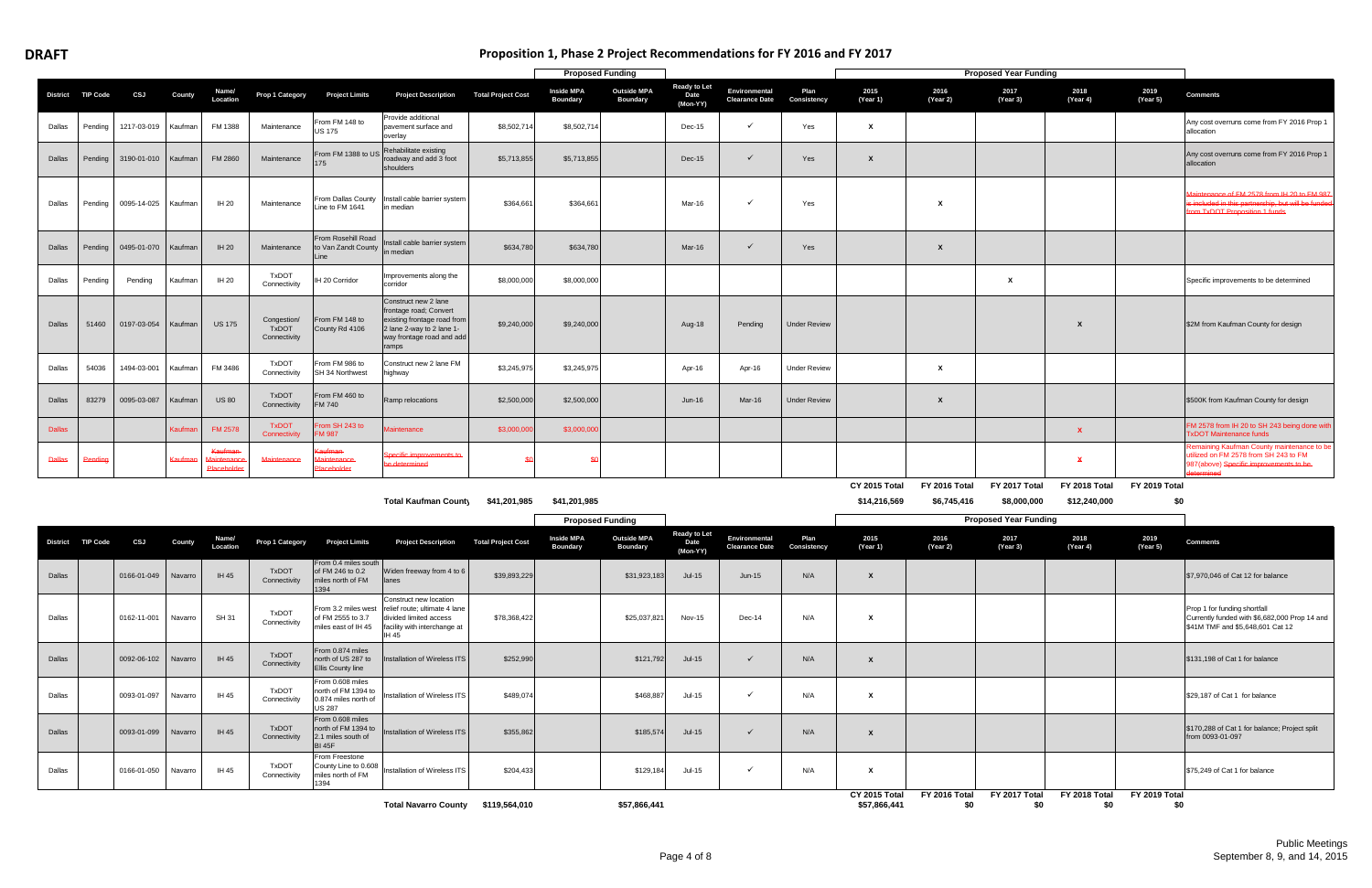Dallas 0093-01-097 Navarro IH 45

Dallas 0093-01-099 Navarro IH 45

Dallas 0166-01-050 Navarro IH 45

| Proposition 1, Phase 2 Project Recommendations for FY 2016 and FY 2017 |
|------------------------------------------------------------------------|
|------------------------------------------------------------------------|

|               |                   |                       |               |                       |                                             |                                                                       |                                                                                                                                                  |                           | <b>Proposed Funding</b>              |                                       |                                         |                                        |                     |                               |                              | <b>Proposed Year Funding</b> |                               |                      |                                                                                                                                                   |
|---------------|-------------------|-----------------------|---------------|-----------------------|---------------------------------------------|-----------------------------------------------------------------------|--------------------------------------------------------------------------------------------------------------------------------------------------|---------------------------|--------------------------------------|---------------------------------------|-----------------------------------------|----------------------------------------|---------------------|-------------------------------|------------------------------|------------------------------|-------------------------------|----------------------|---------------------------------------------------------------------------------------------------------------------------------------------------|
|               | District TIP Code | CSJ                   | <b>County</b> | Name/<br>Location     | <b>Prop 1 Category</b>                      | <b>Project Limits</b>                                                 | <b>Project Description</b>                                                                                                                       | <b>Total Project Cost</b> | <b>Inside MPA</b><br><b>Boundary</b> | <b>Outside MPA</b><br><b>Boundary</b> | <b>Ready to Let</b><br>Date<br>(Mon-YY) | Environmental<br><b>Clearance Date</b> | Plan<br>Consistency | 2015<br>(Year 1)              | 2016<br>(Year 2)             | 2017<br>(Year 3)             | 2018<br>(Year 4)              | 2019<br>(Year 5)     | <b>Comments</b>                                                                                                                                   |
| Dallas        | Pending           | 1217-03-019           | Kaufman       | FM 1388               | Maintenance                                 | From FM 148 to<br>JS 175                                              | Provide additional<br>pavement surface and<br>overlay                                                                                            | \$8,502,714               | \$8,502,714                          |                                       | Dec-15                                  | $\checkmark$                           | Yes                 | $\boldsymbol{x}$              |                              |                              |                               |                      | Any cost overruns come from FY 2016 Prop 1<br>allocation                                                                                          |
| Dallas        | Pending           | 3190-01-010   Kaufman |               | <b>FM 2860</b>        | Maintenance                                 | From FM 1388 to US<br>75                                              | Rehabilitate existing<br>roadway and add 3 foot<br>shoulders                                                                                     | \$5,713,855               | \$5,713,855                          |                                       | Dec-15                                  | $\checkmark$                           | Yes                 | $\mathsf{x}$                  |                              |                              |                               |                      | Any cost overruns come from FY 2016 Prop 1<br>allocation                                                                                          |
| Dallas        | Pending           | 0095-14-025 Kaufman   |               | IH 20                 | Maintenance                                 | From Dallas County<br>ine to FM 1641                                  | Install cable barrier system<br>in median                                                                                                        | \$364,661                 | \$364,661                            |                                       | Mar-16                                  | ✓                                      | Yes                 |                               | X                            |                              |                               |                      | Aaintenance of FM 2578 from IH 20 to FM 987<br>s included in this partnership, but will be funded<br><b>From TxDOT Proposition 1 funds</b>        |
| Dallas        | Pending           | 0495-01-070           | Kaufman       | <b>IH 20</b>          | Maintenance                                 | From Rosehill Road<br>to Van Zandt County<br>Line                     | Install cable barrier system<br>in median                                                                                                        | \$634,780                 | \$634,780                            |                                       | Mar-16                                  | $\checkmark$                           | Yes                 |                               | X                            |                              |                               |                      |                                                                                                                                                   |
| Dallas        | Pending           | Pending               | Kaufman       | IH 20                 | <b>TxDOT</b><br>Connectivity                | H 20 Corridor                                                         | Improvements along the<br>corridor                                                                                                               | \$8,000,000               | \$8,000,000                          |                                       |                                         |                                        |                     |                               |                              | $\boldsymbol{\mathsf{x}}$    |                               |                      | Specific improvements to be determined                                                                                                            |
| Dallas        | 51460             | 0197-03-054           | Kaufman       | <b>US 175</b>         | Congestion/<br><b>TxDOT</b><br>Connectivity | From FM 148 to<br>County Rd 4106                                      | Construct new 2 lane<br>frontage road; Convert<br>existing frontage road from<br>2 lane 2-way to 2 lane 1-<br>way frontage road and add<br>ramps | \$9,240,000               | \$9,240,000                          |                                       | Aug-18                                  | Pending                                | <b>Under Review</b> |                               |                              |                              | X                             |                      | \$2M from Kaufman County for design                                                                                                               |
| Dallas        | 54036             | 1494-03-001           | Kaufman       | FM 3486               | <b>TxDOT</b><br>Connectivity                | From FM 986 to<br>SH 34 Northwest                                     | Construct new 2 lane FM<br>highway                                                                                                               | \$3,245,975               | \$3,245,975                          |                                       | Apr-16                                  | Apr-16                                 | <b>Under Review</b> |                               | $\boldsymbol{x}$             |                              |                               |                      |                                                                                                                                                   |
| Dallas        | 83279             | 0095-03-087           | Kaufman       | <b>US 80</b>          | <b>TxDOT</b><br>Connectivity                | From FM 460 to<br>FM 740                                              | Ramp relocations                                                                                                                                 | \$2,500,000               | \$2,500,000                          |                                       | $Jun-16$                                | Mar-16                                 | <b>Under Review</b> |                               | $\boldsymbol{\mathsf{x}}$    |                              |                               |                      | \$500K from Kaufman County for design                                                                                                             |
| <b>Dallas</b> |                   |                       | Kaufmar       | <b>FM 2578</b>        | <b>TxDOT</b><br>Connectivity                | rom SH 243 to<br>M 987                                                | laintenance                                                                                                                                      | \$3,000,000               | \$3,000,000                          |                                       |                                         |                                        |                     |                               |                              |                              | $\mathbf{x}$                  |                      | FM 2578 from IH 20 to SH 243 being done with<br><b>EXDOT Maintenance funds</b>                                                                    |
| <b>Dallas</b> | Pending           |                       | Kaufma        | Kaufman<br>Placeholde | Maintenance                                 | aufman-<br>aintenance<br>Placeholder                                  | pecific improvements to-<br>a determined                                                                                                         |                           |                                      |                                       |                                         |                                        |                     |                               |                              |                              | $\boldsymbol{\mathsf{x}}$     |                      | Remaining Kaufman County maintenance to be<br>itilized on FM 2578 from SH 243 to FM<br>187(above) Specific improvements to be-<br><b>hermined</b> |
|               |                   |                       |               |                       |                                             |                                                                       | <b>Total Kaufman County</b>                                                                                                                      | \$41,201,985              | \$41,201,985                         |                                       |                                         |                                        |                     | CY 2015 Total<br>\$14,216,569 | FY 2016 Total<br>\$6,745,416 | FY 2017 Total<br>\$8,000,000 | FY 2018 Total<br>\$12,240,000 | FY 2019 Total<br>\$0 |                                                                                                                                                   |
|               |                   |                       |               |                       |                                             |                                                                       |                                                                                                                                                  |                           | <b>Proposed Funding</b>              |                                       |                                         |                                        |                     |                               |                              | <b>Proposed Year Funding</b> |                               |                      |                                                                                                                                                   |
|               | District TIP Code | CSJ                   | County        | Name/<br>Location     | Prop 1 Category                             | <b>Project Limits</b>                                                 | <b>Project Description</b>                                                                                                                       | <b>Total Project Cost</b> | Inside MPA<br><b>Boundary</b>        | <b>Outside MPA</b><br><b>Boundary</b> | <b>Ready to Let</b><br>Date<br>(Mon-YY) | Environmental<br><b>Clearance Date</b> | Plan<br>Consistency | 2015<br>(Year 1)              | 2016<br>(Year 2)             | 2017<br>(Year 3)             | 2018<br>(Year 4)              | 2019<br>(Year 5)     | <b>Comments</b>                                                                                                                                   |
| Dallas        |                   | 0166-01-049           | Navarro       | IH 45                 | <b>TxDOT</b><br>Connectivity                | From 0.4 miles south<br>of FM 246 to 0.2<br>miles north of FM<br>1394 | Widen freeway from 4 to 6<br>lanes                                                                                                               | \$39,893,229              |                                      | \$31,923,183                          | Jul-15                                  | $Jun-15$                               | N/A                 | $\mathbf{x}$                  |                              |                              |                               |                      | \$7,970,046 of Cat 12 for balance                                                                                                                 |
| Dallas        |                   | 0162-11-001           | Navarro       | SH 31                 | <b>TxDOT</b><br>Connectivity                | From 3.2 miles west<br>of FM 2555 to 3.7<br>miles east of IH 45       | Construct new location<br>relief route; ultimate 4 lane<br>divided limited access<br>facility with interchange at<br>IH 45                       | \$78,368,422              |                                      | \$25,037,821                          | Nov-15                                  | $Dec-14$                               | N/A                 | $\boldsymbol{x}$              |                              |                              |                               |                      | Prop 1 for funding shortfall<br>Currently funded with \$6,682,000 Prop 14 and<br>\$41M TMF and \$5,648,601 Cat 12                                 |
| Dallas        |                   | 0092-06-102           | Navarro       | IH 45                 | <b>TxDOT</b><br>Connectivity                | From 0.874 miles<br>north of US 287 to<br><b>Ellis County line</b>    | Installation of Wireless ITS                                                                                                                     | \$252,990                 |                                      | \$121,792                             | $Jul-15$                                | $\checkmark$                           | N/A                 | $\boldsymbol{x}$              |                              |                              |                               |                      | \$131,198 of Cat 1 for balance                                                                                                                    |

TxDOT Connectivity

From 0.608 miles north of FM 1394 to 0.874 miles north of US 287

TxDOT Connectivity

From 0.608 miles north of FM 1394 to 2.1 miles south of BI 45F

|                                                                                                                            |                           |                                      | <b>Floposed Funding</b>                                               |                                         |                                        |                     |                                                                                          |                  | The Poster Team and Tight |                  |                  |                                                                                                                   |
|----------------------------------------------------------------------------------------------------------------------------|---------------------------|--------------------------------------|-----------------------------------------------------------------------|-----------------------------------------|----------------------------------------|---------------------|------------------------------------------------------------------------------------------|------------------|---------------------------|------------------|------------------|-------------------------------------------------------------------------------------------------------------------|
| <b>Project Description</b>                                                                                                 | <b>Total Project Cost</b> | <b>Inside MPA</b><br><b>Boundary</b> | <b>Outside MPA</b><br><b>Boundary</b>                                 | <b>Ready to Let</b><br>Date<br>(Mon-YY) | Environmental<br><b>Clearance Date</b> | Plan<br>Consistency | 2015<br>(Year 1)                                                                         | 2016<br>(Year 2) | 2017<br>(Year 3)          | 2018<br>(Year 4) | 2019<br>(Year 5) | <b>Comments</b>                                                                                                   |
| Widen freeway from 4 to 6<br>lanes                                                                                         | \$39,893,229              |                                      | \$31,923,183                                                          | $Jul-15$                                | $Jun-15$                               | N/A                 | $\boldsymbol{x}$                                                                         |                  |                           |                  |                  | \$7,970,046 of Cat 12 for balance                                                                                 |
| Construct new location<br>relief route; ultimate 4 lane<br>divided limited access<br>facility with interchange at<br>IH 45 | \$78,368,422              |                                      | \$25,037,821                                                          | Nov-15                                  | Dec-14                                 | N/A                 | X                                                                                        |                  |                           |                  |                  | Prop 1 for funding shortfall<br>Currently funded with \$6,682,000 Prop 14 and<br>\$41M TMF and \$5,648,601 Cat 12 |
| Installation of Wireless ITS                                                                                               | \$252,990                 |                                      | \$121,792                                                             | $Jul-15$                                | $\checkmark$                           | N/A                 | $\boldsymbol{x}$                                                                         |                  |                           |                  |                  | \$131,198 of Cat 1 for balance                                                                                    |
| Installation of Wireless ITS                                                                                               | \$489,074                 |                                      | \$468,887                                                             | Jul-15                                  | $\checkmark$                           | N/A                 | X                                                                                        |                  |                           |                  |                  | \$29,187 of Cat 1 for balance                                                                                     |
| Installation of Wireless ITS                                                                                               | \$355,862                 |                                      | \$185,574                                                             | $Jul-15$                                | $\checkmark$                           | N/A                 | $\boldsymbol{x}$                                                                         |                  |                           |                  |                  | \$170,288 of Cat 1 for balance; Project split<br>from 0093-01-097                                                 |
| Installation of Wireless ITS                                                                                               | \$204,433                 |                                      | \$129,184                                                             | $Jul-15$                                | $\checkmark$                           | N/A                 | X                                                                                        |                  |                           |                  |                  | \$75,249 of Cat 1 for balance                                                                                     |
|                                                                                                                            |                           |                                      | $\mathbf{A} = \mathbf{A} \mathbf{A} \mathbf{A} \mathbf{A} \mathbf{A}$ |                                         |                                        |                     | CY 2015 Total<br>$\mathbf{A} = \mathbf{A} \mathbf{A} \mathbf{A} + \mathbf{A} \mathbf{A}$ | FY 2016 Total    | FY 2017 Total             | FY 2018 Total    | FY 2019 Total    |                                                                                                                   |

TxDOT Connectivity

From Freestone County Line to 0.608 miles north of FM 1394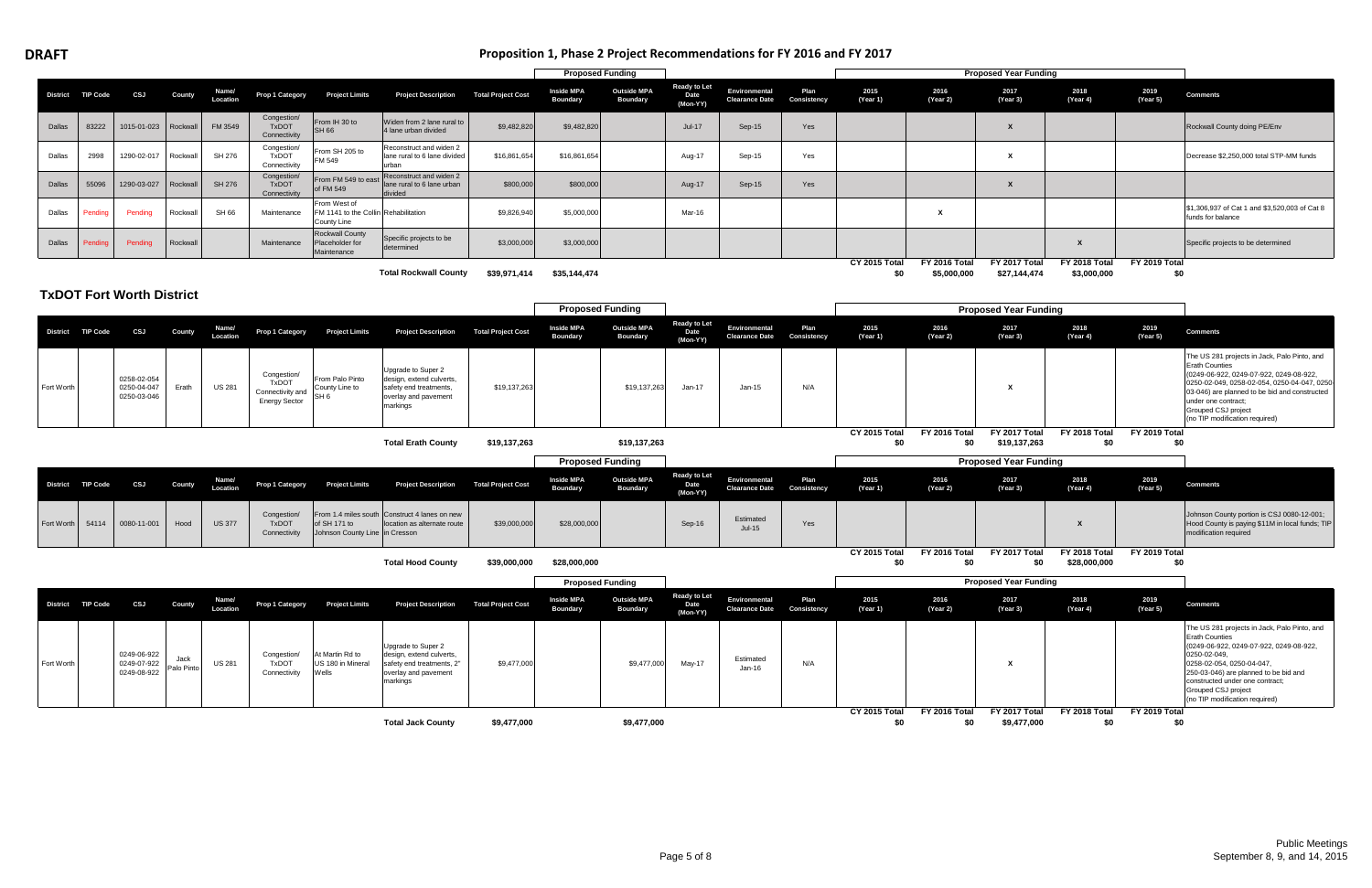# **DRAFT**

## **Proposition 1, Phase 2 Project Recommendations for FY 2016 and FY 2017**

|               |                   |                                           |                    |                   |                                                                         |                                                                     |                                                                                                                 |                           | <b>Proposed Funding</b>              |                                       |                                         |                                        |                     |                      |                              | <b>Proposed Year Funding</b>  |                               |                      |                                                                                                                                                                                                                                                                                                    |
|---------------|-------------------|-------------------------------------------|--------------------|-------------------|-------------------------------------------------------------------------|---------------------------------------------------------------------|-----------------------------------------------------------------------------------------------------------------|---------------------------|--------------------------------------|---------------------------------------|-----------------------------------------|----------------------------------------|---------------------|----------------------|------------------------------|-------------------------------|-------------------------------|----------------------|----------------------------------------------------------------------------------------------------------------------------------------------------------------------------------------------------------------------------------------------------------------------------------------------------|
|               | District TIP Code | CSJ                                       | County             | Name/<br>Location | <b>Prop 1 Category</b>                                                  | <b>Project Limits</b>                                               | <b>Project Description</b>                                                                                      | <b>Total Project Cost</b> | <b>Inside MPA</b><br><b>Boundary</b> | <b>Outside MPA</b><br><b>Boundary</b> | <b>Ready to Let</b><br>Date<br>(Mon-YY) | Environmental<br><b>Clearance Date</b> | Plan<br>Consistency | 2015<br>(Year 1)     | 2016<br>(Year 2)             | 2017<br>(Year 3)              | 2018<br>(Year 4)              | 2019<br>(Year 5)     | <b>Comments</b>                                                                                                                                                                                                                                                                                    |
| <b>Dallas</b> | 83222             | 1015-01-023                               | Rockwall           | FM 3549           | Congestion/<br><b>TxDOT</b><br>Connectivity                             | From IH 30 to<br><b>SH 66</b>                                       | Widen from 2 lane rural to<br>4 lane urban divided                                                              | \$9,482,820               | \$9,482,820                          |                                       | Jul-17                                  | $Sep-15$                               | Yes                 |                      |                              | $\mathbf{x}$                  |                               |                      | Rockwall County doing PE/Env                                                                                                                                                                                                                                                                       |
| Dallas        | 2998              | 1290-02-017                               | Rockwall           | SH 276            | Congestion/<br><b>TxDOT</b><br>Connectivity                             | From SH 205 to<br>FM 549                                            | Reconstruct and widen 2<br>ane rural to 6 lane divided<br>urban                                                 | \$16,861,654              | \$16,861,654                         |                                       | Aug-17                                  | Sep-15                                 | Yes                 |                      |                              | X                             |                               |                      | Decrease \$2,250,000 total STP-MM funds                                                                                                                                                                                                                                                            |
| Dallas        | 55096             | 1290-03-027                               | Rockwall           | <b>SH 276</b>     | Congestion/<br><b>TxDOT</b><br>Connectivity                             | From FM 549 to east<br>of FM 549                                    | Reconstruct and widen 2<br>ane rural to 6 lane urban<br>divided                                                 | \$800,000                 | \$800,000                            |                                       | Aug-17                                  | Sep-15                                 | Yes                 |                      |                              | $\boldsymbol{\mathsf{x}}$     |                               |                      |                                                                                                                                                                                                                                                                                                    |
| Dallas        | Pendina           | Pending                                   | Rockwall           | SH 66             | Maintenance                                                             | From West of<br>FM 1141 to the Collin Rehabilitation<br>County Line |                                                                                                                 | \$9,826,940               | \$5,000,000                          |                                       | Mar-16                                  |                                        |                     |                      | $\mathbf{x}$                 |                               |                               |                      | \$1,306,937 of Cat 1 and \$3,520,003 of Cat 8<br>funds for balance                                                                                                                                                                                                                                 |
| Dallas        | Pendinc           | Pending                                   | Rockwall           |                   | Maintenance                                                             | <b>Rockwall County</b><br>Placeholder for<br>Maintenance            | Specific projects to be<br>determined                                                                           | \$3,000,000               | \$3,000,000                          |                                       |                                         |                                        |                     |                      |                              |                               | $\mathbf{x}$                  |                      | Specific projects to be determined                                                                                                                                                                                                                                                                 |
|               |                   |                                           |                    |                   |                                                                         |                                                                     | <b>Total Rockwall County</b>                                                                                    | \$39,971,414              | \$35,144,474                         |                                       |                                         |                                        |                     | CY 2015 Total<br>\$0 | FY 2016 Total<br>\$5,000,000 | FY 2017 Total<br>\$27,144,474 | FY 2018 Total<br>\$3,000,000  | FY 2019 Total<br>\$0 |                                                                                                                                                                                                                                                                                                    |
|               |                   | <b>TxDOT Fort Worth District</b>          |                    |                   |                                                                         |                                                                     |                                                                                                                 |                           |                                      |                                       |                                         |                                        |                     |                      |                              |                               |                               |                      |                                                                                                                                                                                                                                                                                                    |
|               |                   |                                           |                    |                   |                                                                         |                                                                     |                                                                                                                 |                           | <b>Proposed Funding</b>              |                                       | <b>Ready to Let</b>                     |                                        |                     |                      |                              | <b>Proposed Year Funding</b>  |                               |                      |                                                                                                                                                                                                                                                                                                    |
|               | District TIP Code | CSJ                                       | County             | Name/<br>Location | <b>Prop 1 Category</b>                                                  | <b>Project Limits</b>                                               | <b>Project Description</b>                                                                                      | <b>Total Project Cost</b> | <b>Inside MPA</b><br><b>Boundary</b> | <b>Outside MPA</b><br><b>Boundary</b> | Date<br>(Mon-YY)                        | Environmental<br><b>Clearance Date</b> | Plan<br>Consistency | 2015<br>(Year 1)     | 2016<br>(Year 2)             | 2017<br>(Year 3)              | 2018<br>(Year 4)              | 2019<br>(Year 5)     | <b>Comments</b>                                                                                                                                                                                                                                                                                    |
| Fort Worth    |                   | 0258-02-054<br>0250-04-047<br>0250-03-046 | Erath              | <b>US 281</b>     | Congestion/<br><b>TxDOT</b><br>Connectivity and<br><b>Energy Sector</b> | From Palo Pinto<br>County Line to<br>SH 6                           | Jpgrade to Super 2<br>design, extend culverts,<br>safety end treatments,<br>overlay and pavement<br>markings    | \$19,137,263              |                                      | \$19,137,263                          | Jan-17                                  | $Jan-15$                               | N/A                 |                      |                              | х                             |                               |                      | The US 281 projects in Jack, Palo Pinto, and<br><b>Erath Counties</b><br>0249-06-922, 0249-07-922, 0249-08-922,<br>0250-02-049, 0258-02-054, 0250-04-047, 0250-<br>03-046) are planned to be bid and constructed<br>under one contract;<br>Grouped CSJ project<br>(no TIP modification required)   |
|               |                   |                                           |                    |                   |                                                                         |                                                                     | <b>Total Erath County</b>                                                                                       | \$19,137,263              |                                      | \$19,137,263                          |                                         |                                        |                     | CY 2015 Total<br>\$0 | FY 2016 Total<br>\$0         | FY 2017 Total<br>\$19,137,263 | FY 2018 Total<br>\$0          | FY 2019 Total<br>\$0 |                                                                                                                                                                                                                                                                                                    |
|               |                   |                                           |                    |                   |                                                                         |                                                                     |                                                                                                                 |                           | <b>Proposed Funding</b>              |                                       |                                         |                                        |                     |                      |                              | <b>Proposed Year Funding</b>  |                               |                      |                                                                                                                                                                                                                                                                                                    |
|               | District TIP Code | CSJ                                       | County             | Name/<br>Location | <b>Prop 1 Category</b>                                                  | <b>Project Limits</b>                                               | <b>Project Description</b>                                                                                      | <b>Total Project Cost</b> | <b>Inside MPA</b><br><b>Boundary</b> | <b>Outside MPA</b><br><b>Boundary</b> | <b>Ready to Let</b><br>Date<br>(Mon-YY) | Environmental<br><b>Clearance Date</b> | Plan<br>Consistency | 2015<br>(Year 1)     | 2016<br>(Year 2)             | 2017<br>(Year 3)              | 2018<br>(Year 4)              | 2019<br>(Year 5)     | <b>Comments</b>                                                                                                                                                                                                                                                                                    |
| Fort Worth    | 54114             | 0080-11-001                               | Hood               | <b>US 377</b>     | Congestion/<br><b>TxDOT</b><br>Connectivity                             | of SH 171 to<br>Johnson County Line in Cresson                      | From 1.4 miles south Construct 4 lanes on new<br>location as alternate route                                    | \$39,000,000              | \$28,000,000                         |                                       | Sep-16                                  | Estimated<br>$Jul-15$                  | Yes                 |                      |                              |                               | X                             |                      | Johnson County portion is CSJ 0080-12-001;<br>Hood County is paying \$11M in local funds; TIP<br>modification required                                                                                                                                                                             |
|               |                   |                                           |                    |                   |                                                                         |                                                                     | <b>Total Hood County</b>                                                                                        | \$39,000,000              | \$28,000,000                         |                                       |                                         |                                        |                     | CY 2015 Total<br>\$0 | FY 2016 Total<br>\$0         | FY 2017 Total<br>\$0          | FY 2018 Total<br>\$28,000,000 | FY 2019 Total<br>\$0 |                                                                                                                                                                                                                                                                                                    |
|               |                   |                                           |                    |                   |                                                                         |                                                                     |                                                                                                                 |                           | <b>Proposed Funding</b>              |                                       |                                         |                                        |                     |                      |                              | <b>Proposed Year Funding</b>  |                               |                      |                                                                                                                                                                                                                                                                                                    |
|               | District TIP Code | CSJ                                       | County             | Name/<br>Location | Prop 1 Category                                                         | <b>Project Limits</b>                                               | <b>Project Description</b>                                                                                      | <b>Total Project Cost</b> | <b>Inside MPA</b><br><b>Boundary</b> | <b>Outside MPA</b><br><b>Boundary</b> | <b>Ready to Let</b><br>Date<br>(Mon-YY) | Environmental<br><b>Clearance Date</b> | Plan<br>Consistency | 2015<br>(Year 1)     | 2016<br>(Year 2)             | 2017<br>(Year 3)              | 2018<br>(Year 4)              | 2019<br>(Year 5)     | <b>Comments</b>                                                                                                                                                                                                                                                                                    |
| Fort Worth    |                   | 0249-06-922<br>0249-07-922<br>0249-08-922 | Jack<br>Palo Pinto | <b>US 281</b>     | Congestion/<br><b>TxDOT</b><br>Connectivity                             | At Martin Rd to<br>US 180 in Mineral<br>Wells                       | Jpgrade to Super 2<br>design, extend culverts,<br>safety end treatments, 2"<br>overlay and pavement<br>markings | \$9,477,000               |                                      | \$9,477,000                           | May-17                                  | Estimated<br>$Jan-16$                  | N/A                 |                      |                              | x                             |                               |                      | The US 281 projects in Jack, Palo Pinto, and<br><b>Erath Counties</b><br>(0249-06-922, 0249-07-922, 0249-08-922,<br>0250-02-049,<br>0258-02-054, 0250-04-047,<br>250-03-046) are planned to be bid and<br>constructed under one contract;<br>Grouped CSJ project<br>(no TIP modification required) |
|               |                   |                                           |                    |                   |                                                                         |                                                                     | <b>Total Jack County</b>                                                                                        | \$9,477,000               |                                      | \$9,477,000                           |                                         |                                        |                     | CY 2015 Total<br>\$0 | FY 2016 Total<br>\$0         | FY 2017 Total<br>\$9,477,000  | FY 2018 Total<br>\$0          | FY 2019 Total<br>\$0 |                                                                                                                                                                                                                                                                                                    |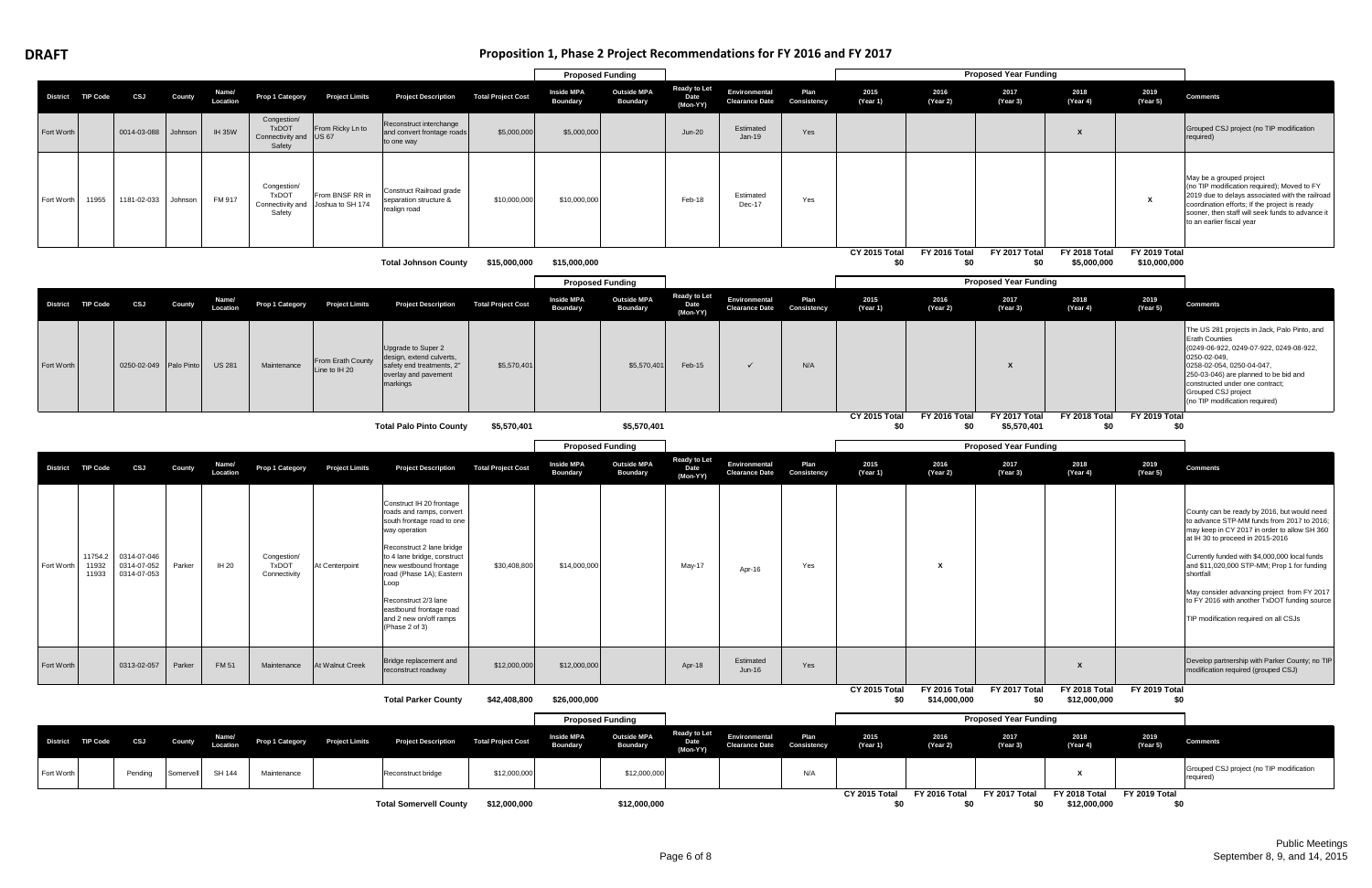# **Proposition 1, Phase 2 Project Recommendations for FY 2016 and FY 2017**

|            |                   |                                                 |            |                   |                                                                 |                                                      |                                                                                                                                                                                                                               |                           | <b>Proposed Funding</b>              |                                       |                                         |                                        |                     |                      |                               | <b>Proposed Year Funding</b> |                               |                               |                                                                                                                                                                                                                                                                                                    |
|------------|-------------------|-------------------------------------------------|------------|-------------------|-----------------------------------------------------------------|------------------------------------------------------|-------------------------------------------------------------------------------------------------------------------------------------------------------------------------------------------------------------------------------|---------------------------|--------------------------------------|---------------------------------------|-----------------------------------------|----------------------------------------|---------------------|----------------------|-------------------------------|------------------------------|-------------------------------|-------------------------------|----------------------------------------------------------------------------------------------------------------------------------------------------------------------------------------------------------------------------------------------------------------------------------------------------|
|            | District TIP Code | <b>CSJ</b>                                      | County     | Name/<br>Location | Prop 1 Category                                                 | <b>Project Limits</b>                                | <b>Project Description</b>                                                                                                                                                                                                    | <b>Total Project Cost</b> | <b>Inside MPA</b><br><b>Boundary</b> | <b>Outside MPA</b><br><b>Boundary</b> | <b>Ready to Let</b><br>Date<br>(Mon-YY) | Environmental<br><b>Clearance Date</b> | Plan<br>Consistency | 2015<br>(Year 1)     | 2016<br>(Year 2)              | 2017<br>(Year 3)             | 2018<br>(Year 4)              | 2019<br>(Year 5)              | <b>Comments</b>                                                                                                                                                                                                                                                                                    |
| Fort Worth |                   | 0014-03-088                                     | Johnson    | <b>IH 35W</b>     | Congestion/<br><b>TxDOT</b><br>Connectivity and US 67<br>Safety | From Ricky Ln to                                     | Reconstruct interchange<br>and convert frontage roads<br>to one way                                                                                                                                                           | \$5,000,000               | \$5,000,000                          |                                       | $Jun-20$                                | Estimated<br><b>Jan-19</b>             | Yes                 |                      |                               |                              |                               |                               | Grouped CSJ project (no TIP modification<br>required)                                                                                                                                                                                                                                              |
| Fort Worth | 11955             | 1181-02-033                                     | Johnson    | FM 917            | Congestion/<br>TxDOT<br>Safety                                  | From BNSF RR in<br>Connectivity and Joshua to SH 174 | Construct Railroad grade<br>separation structure &<br>realign road                                                                                                                                                            | \$10,000,000              | \$10,000,000                         |                                       | Feb-18                                  | Estimated<br>Dec-17                    | Yes                 |                      |                               |                              |                               | $\boldsymbol{\mathsf{x}}$     | May be a grouped project<br>(no TIP modification required); Moved to FY<br>2019 due to delays associated with the railroad<br>coordination efforts; If the project is ready<br>sooner, then staff will seek funds to advance it<br>to an earlier fiscal year                                       |
|            |                   |                                                 |            |                   |                                                                 |                                                      | <b>Total Johnson County</b>                                                                                                                                                                                                   | \$15,000,000              | \$15,000,000                         |                                       |                                         |                                        |                     | CY 2015 Total<br>\$0 | FY 2016 Total<br>\$0          | FY 2017 Total<br>\$0         | FY 2018 Total<br>\$5,000,000  | FY 2019 Total<br>\$10,000,000 |                                                                                                                                                                                                                                                                                                    |
|            |                   |                                                 |            |                   |                                                                 |                                                      |                                                                                                                                                                                                                               |                           | <b>Proposed Funding</b>              |                                       |                                         |                                        |                     |                      |                               | <b>Proposed Year Funding</b> |                               |                               |                                                                                                                                                                                                                                                                                                    |
|            | District TIP Code | <b>CSJ</b>                                      | County     | Name/<br>Location | Prop 1 Category                                                 | <b>Project Limits</b>                                | <b>Project Description</b>                                                                                                                                                                                                    | <b>Total Project Cost</b> | <b>Inside MPA</b><br><b>Boundary</b> | <b>Outside MPA</b><br><b>Boundary</b> | <b>Ready to Let</b><br>Date<br>(Mon-YY) | Environmental<br><b>Clearance Date</b> | Plan<br>Consistency | 2015<br>(Year 1)     | 2016<br>(Year 2)              | 2017<br>(Year 3)             | 2018<br>(Year 4)              | 2019<br>(Year 5)              | <b>Comments</b>                                                                                                                                                                                                                                                                                    |
| Fort Worth |                   | 0250-02-049                                     | Palo Pinto | <b>US 281</b>     | Maintenance                                                     | From Erath County<br>Line to IH 20                   | Upgrade to Super 2<br>design, extend culverts,<br>safety end treatments, 2"<br>overlay and pavement<br>markings                                                                                                               | \$5,570,401               |                                      | \$5,570,401                           | Feb-15                                  | $\checkmark$                           | N/A                 |                      |                               | X                            |                               |                               | The US 281 projects in Jack, Palo Pinto, and<br><b>Erath Counties</b><br>(0249-06-922, 0249-07-922, 0249-08-922,<br>0250-02-049,<br>0258-02-054, 0250-04-047,<br>250-03-046) are planned to be bid and<br>constructed under one contract;<br>Grouped CSJ project<br>(no TIP modification required) |
|            |                   |                                                 |            |                   |                                                                 |                                                      | <b>Total Palo Pinto County</b>                                                                                                                                                                                                | \$5,570,401               |                                      | \$5,570,401                           |                                         |                                        |                     | CY 2015 Total<br>\$0 | FY 2016 Total<br>\$0          | FY 2017 Total<br>\$5,570,401 | FY 2018 Total<br>\$0          | FY 2019 Total<br>\$0          |                                                                                                                                                                                                                                                                                                    |
|            |                   |                                                 |            |                   |                                                                 |                                                      |                                                                                                                                                                                                                               |                           | <b>Proposed Funding</b>              |                                       |                                         |                                        |                     |                      |                               | <b>Proposed Year Funding</b> |                               |                               |                                                                                                                                                                                                                                                                                                    |
|            | District TIP Code | <b>CSJ</b>                                      | County     | Name/<br>Location | <b>Prop 1 Category</b>                                          | <b>Project Limits</b>                                | <b>Project Description</b>                                                                                                                                                                                                    | <b>Total Project Cost</b> | <b>Inside MPA</b><br><b>Boundary</b> | <b>Outside MPA</b><br><b>Boundary</b> | <b>Ready to Let</b><br>Date<br>(Mon-YY) | Environmental<br><b>Clearance Date</b> | Plan<br>Consistency | 2015<br>(Year 1)     | 2016<br>(Year 2)              | 2017<br>(Year 3)             | 2018<br>(Year 4)              | 2019<br>(Year 5)              | <b>Comments</b>                                                                                                                                                                                                                                                                                    |
|            |                   |                                                 |            |                   |                                                                 |                                                      |                                                                                                                                                                                                                               |                           |                                      |                                       |                                         |                                        |                     |                      |                               |                              |                               |                               |                                                                                                                                                                                                                                                                                                    |
| Fort Worth | 11754.2<br>11932  | 0314-07-046<br>0314-07-052<br>11933 0314-07-053 | Parker     | IH 20             | Congestion/<br><b>TxDOT</b><br>Connectivity                     | At Centerpoint                                       | Construct IH 20 frontage<br>roads and ramps, convert<br>south frontage road to one<br>way operation<br>Reconstruct 2 lane bridge<br>to 4 lane bridge, construct<br>new westbound frontage<br>road (Phase 1A); Eastern<br>Loop | \$30,408,800              | \$14,000,000                         |                                       | May-17                                  | Apr-16                                 | Yes                 |                      | X                             |                              |                               |                               | County can be ready by 2016, but would need<br>to advance STP-MM funds from 2017 to 2016;<br>may keep in CY 2017 in order to allow SH 360<br>at IH 30 to proceed in 2015-2016<br>Currently funded with \$4,000,000 local funds<br>and \$11,020,000 STP-MM; Prop 1 for funding<br>shortfall         |
|            |                   |                                                 |            |                   |                                                                 |                                                      | Reconstruct 2/3 lane<br>eastbound frontage road<br>and 2 new on/off ramps<br>(Phase 2 of 3)                                                                                                                                   |                           |                                      |                                       |                                         |                                        |                     |                      |                               |                              |                               |                               | TIP modification required on all CSJs                                                                                                                                                                                                                                                              |
| Fort Worth |                   | 0313-02-057                                     | Parker     | FM 51             | Maintenance                                                     | At Walnut Creek                                      | Bridge replacement and<br>reconstruct roadway                                                                                                                                                                                 | \$12,000,000              | \$12,000,000                         |                                       | Apr-18                                  | Estimated<br>$Jun-16$                  | Yes                 |                      |                               |                              | $\mathsf{x}$                  |                               | modification required (grouped CSJ)                                                                                                                                                                                                                                                                |
|            |                   |                                                 |            |                   |                                                                 |                                                      | <b>Total Parker County</b>                                                                                                                                                                                                    | \$42,408,800              | \$26,000,000                         |                                       |                                         |                                        |                     | CY 2015 Total<br>\$0 | FY 2016 Total<br>\$14,000,000 | FY 2017 Total<br>\$0         | FY 2018 Total<br>\$12,000,000 | FY 2019 Total<br>\$0          |                                                                                                                                                                                                                                                                                                    |
|            |                   |                                                 |            |                   |                                                                 |                                                      |                                                                                                                                                                                                                               |                           | <b>Proposed Funding</b>              |                                       |                                         |                                        |                     |                      |                               | <b>Proposed Year Funding</b> |                               |                               | May consider advancing project from FY 2017<br>to FY 2016 with another TxDOT funding source<br>Develop partnership with Parker County; no TIP                                                                                                                                                      |
|            | District TIP Code | CSJ                                             | County     | Name/<br>Location | Prop 1 Category                                                 | <b>Project Limits</b>                                | <b>Project Description</b>                                                                                                                                                                                                    | <b>Total Project Cost</b> | <b>Inside MPA</b><br><b>Boundary</b> | <b>Outside MPA</b><br><b>Boundary</b> | <b>Ready to Let</b><br>Date             | Environmental<br><b>Clearance Date</b> | Plan<br>Consistency | 2015<br>(Year 1)     | 2016<br>(Year 2)              | 2017<br>(Year 3)             | 2018<br>(Year 4)              | 2019<br>(Year 5)              | <b>Comments</b>                                                                                                                                                                                                                                                                                    |
| Fort Worth |                   | Pending                                         | Somervell  | SH 144            | Maintenance                                                     |                                                      | Reconstruct bridge                                                                                                                                                                                                            | \$12,000,000              |                                      | \$12,000,000                          | (Mon-YY)                                |                                        | N/A                 |                      |                               |                              | X                             |                               | Grouped CSJ project (no TIP modification<br>required)                                                                                                                                                                                                                                              |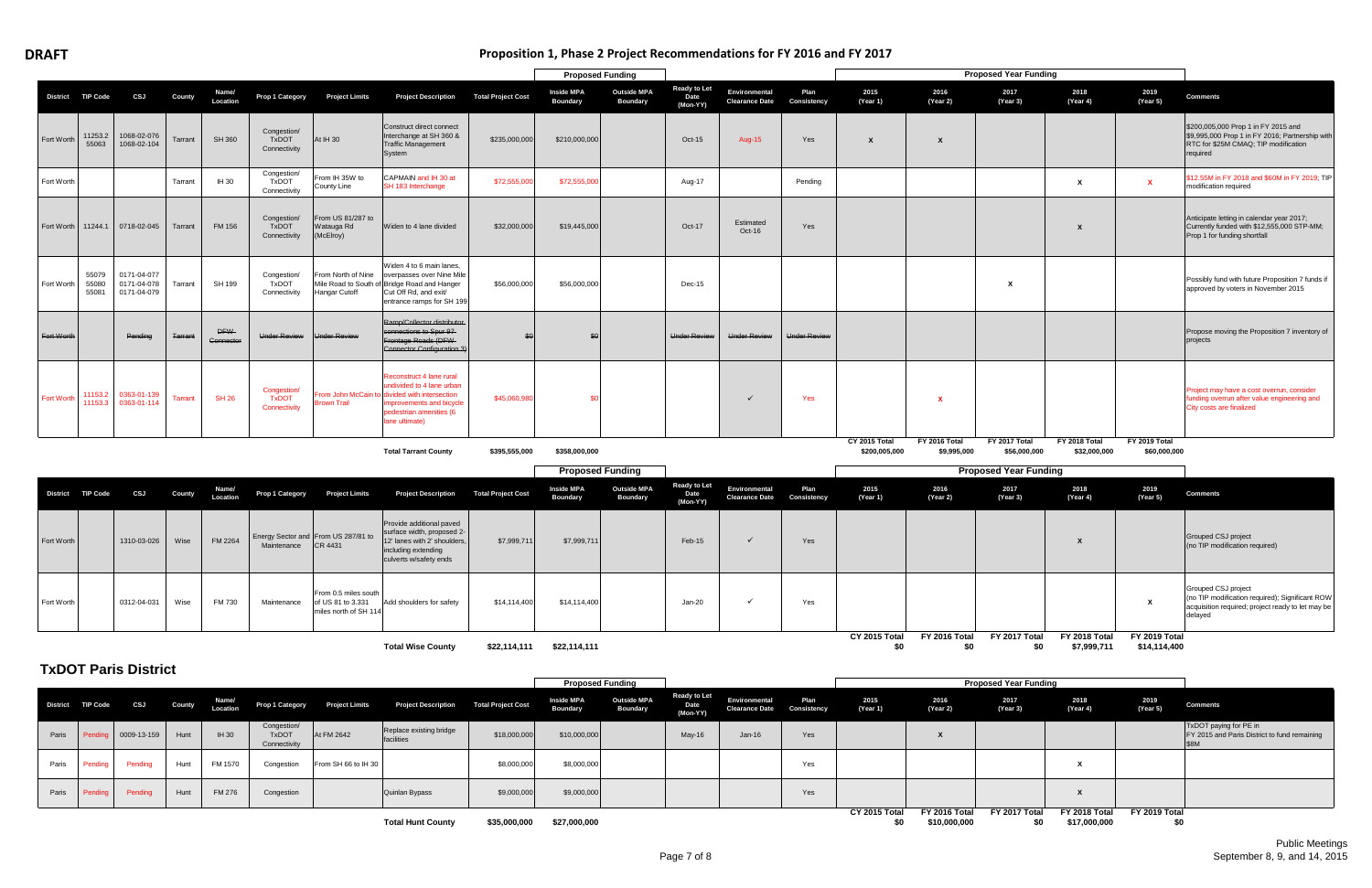# **Proposition 1, Phase 2 Project Recommendations for FY 2016 and FY 2017**

|                   |                         |                                           |                |                         |                                             |                                              |                                                                                                                                                                              |                           | <b>Proposed Funding</b>              |                                       |                                         |                                               |                     |                                |                              | <b>Proposed Year Funding</b>  |                               |                               |                                                                                                                                            |
|-------------------|-------------------------|-------------------------------------------|----------------|-------------------------|---------------------------------------------|----------------------------------------------|------------------------------------------------------------------------------------------------------------------------------------------------------------------------------|---------------------------|--------------------------------------|---------------------------------------|-----------------------------------------|-----------------------------------------------|---------------------|--------------------------------|------------------------------|-------------------------------|-------------------------------|-------------------------------|--------------------------------------------------------------------------------------------------------------------------------------------|
|                   | District TIP Code       | CSJ                                       | <b>County</b>  | Name/<br>Location       | Prop 1 Category                             | <b>Project Limits</b>                        | <b>Project Description</b>                                                                                                                                                   | <b>Total Project Cost</b> | <b>Inside MPA</b><br><b>Boundary</b> | <b>Outside MPA</b><br><b>Boundary</b> | <b>Ready to Let</b><br>Date<br>(Mon-YY) | Environmental<br><b>Clearance Date</b>        | Plan<br>Consistency | 2015<br>(Year 1)               | 2016<br>(Year 2)             | 2017<br>(Year 3)              | 2018<br>(Year 4)              | 2019<br>(Year 5)              | <b>Comments</b>                                                                                                                            |
| Fort Worth        | 11253.2<br>55063        | 1068-02-076<br>1068-02-104                | Tarrant        | <b>SH 360</b>           | Congestion/<br><b>TxDOT</b><br>Connectivity | At IH 30                                     | Construct direct connect<br>Interchange at SH 360 &<br><b>Traffic Management</b><br>System                                                                                   | \$235,000,000             | \$210,000,000                        |                                       | Oct-15                                  | <b>Aug-15</b>                                 | Yes                 | $\boldsymbol{\mathsf{x}}$      | X                            |                               |                               |                               | \$200,005,000 Prop 1 in FY 2015 and<br>\$9,995,000 Prop 1 in FY 2016; Partnership with<br>RTC for \$25M CMAQ; TIP modification<br>required |
| Fort Worth        |                         |                                           | Tarrant        | IH 30                   | Congestion/<br><b>TxDOT</b><br>Connectivity | From IH 35W to<br>County Line                | CAPMAIN and IH 30 at<br>SH 183 Interchange                                                                                                                                   | \$72,555,00               | \$72,555,00                          |                                       | Aug-17                                  |                                               | Pending             |                                |                              |                               | $\boldsymbol{\mathsf{x}}$     | $\mathbf{x}$                  | \$12.55M in FY 2018 and \$60M in FY 2019; TIP<br>modification required                                                                     |
| Fort Worth        | 11244.1                 | 0718-02-045                               | Tarrant        | <b>FM 156</b>           | Congestion/<br><b>TxDOT</b><br>Connectivity | From US 81/287 to<br>Watauga Rd<br>(McElroy) | Widen to 4 lane divided                                                                                                                                                      | \$32,000,000              | \$19,445,000                         |                                       | Oct-17                                  | Estimated<br>Oct-16                           | Yes                 |                                |                              |                               | X                             |                               | Anticipate letting in calendar year 2017;<br>Currently funded with \$12,555,000 STP-MM;<br>Prop 1 for funding shortfall                    |
| Fort Worth        | 55079<br>55080<br>55081 | 0171-04-077<br>0171-04-078<br>0171-04-079 | Tarrant        | SH 199                  | Congestion/<br><b>TxDOT</b><br>Connectivity | From North of Nine<br>Hangar Cutoff          | Widen 4 to 6 main lanes,<br>overpasses over Nine Mile<br>Mile Road to South of Bridge Road and Hanger<br>Cut Off Rd, and exit/<br>entrance ramps for SH 199                  | \$56,000,000              | \$56,000,000                         |                                       | Dec-15                                  |                                               |                     |                                |                              | x                             |                               |                               | Possibly fund with future Proposition 7 funds if<br>approved by voters in November 2015                                                    |
| Fort Worth        |                         | Pending                                   | Tarrant        | <b>DFW</b><br>Connector | <b>Under Review</b>                         | <b>Under Review</b>                          | Ramp/Collector distributor<br>connections to Spur 97<br>Frontage Roads (DFW-<br>Connector Configuration 3)                                                                   | \$0                       | $\mathfrak{C}$                       |                                       | <b>Under Review</b>                     | <b>Under Review</b>                           | <b>Under Review</b> |                                |                              |                               |                               |                               | Propose moving the Proposition 7 inventory of<br>projects                                                                                  |
| <b>Fort Worth</b> | 11153.2<br>11153.3      | 0363-01-139<br>0363-01-114                | <b>Tarrant</b> | <b>SH 26</b>            | Congestion/<br><b>TxDOT</b><br>Connectivity | <b>Brown Trail</b>                           | Reconstruct 4 lane rural<br>undivided to 4 lane urban<br>From John McCain to divided with intersection<br>mprovements and bicycle<br>edestrian amenities (6<br>ane ultimate) | \$45,060,98               |                                      |                                       |                                         | $\checkmark$                                  | Yes                 |                                |                              |                               |                               |                               | roject may have a cost overrun, consider<br>funding overrun after value engineering and<br>City costs are finalized                        |
|                   |                         |                                           |                |                         |                                             |                                              | <b>Total Tarrant County</b>                                                                                                                                                  | \$395,555,000             | \$358,000,000                        |                                       |                                         |                                               |                     | CY 2015 Total<br>\$200,005,000 | FY 2016 Total<br>\$9,995,000 | FY 2017 Total<br>\$56,000,000 | FY 2018 Total<br>\$32,000,000 | FY 2019 Total<br>\$60,000,000 |                                                                                                                                            |
|                   |                         |                                           |                |                         |                                             |                                              |                                                                                                                                                                              |                           | <b>Proposed Funding</b>              |                                       |                                         |                                               |                     |                                |                              | <b>Proposed Year Funding</b>  |                               |                               |                                                                                                                                            |
|                   | District TIP Code       | CSJ                                       | County         | Name/<br>Location       | Prop 1 Category                             | <b>Project Limits</b>                        | <b>Project Description</b>                                                                                                                                                   | <b>Total Project Cost</b> | <b>Inside MPA</b><br><b>Boundary</b> | <b>Outside MPA</b><br><b>Boundary</b> | <b>Ready to Let</b><br>Date<br>(Mon-YY) | <b>Environmental</b><br><b>Clearance Date</b> | Plan<br>Consistency | 2015<br>(Year 1)               | 2016<br>(Year 2)             | 2017<br>(Year 3)              | 2018<br>(Year 4)              | 2019<br>(Year 5)              | <b>Comments</b>                                                                                                                            |
|                   |                         |                                           |                |                         |                                             |                                              | Provide additional paved                                                                                                                                                     |                           |                                      |                                       |                                         |                                               |                     |                                |                              |                               |                               |                               |                                                                                                                                            |

|                 |                 |             |        |                   |                 |                                                                    |                                                                                                                                        |                           | <b>Proposed Funding</b>              |                                       |                                         |                                        |                     |                      |                      | <b>Proposed Year Funding</b> |                              |                               |                                                                                                                                        |
|-----------------|-----------------|-------------|--------|-------------------|-----------------|--------------------------------------------------------------------|----------------------------------------------------------------------------------------------------------------------------------------|---------------------------|--------------------------------------|---------------------------------------|-----------------------------------------|----------------------------------------|---------------------|----------------------|----------------------|------------------------------|------------------------------|-------------------------------|----------------------------------------------------------------------------------------------------------------------------------------|
| <b>District</b> | <b>TIP Code</b> | CSJ         | County | Name/<br>Location | Prop 1 Category | <b>Project Limits</b>                                              | <b>Project Description</b>                                                                                                             | <b>Total Project Cost</b> | <b>Inside MPA</b><br><b>Boundary</b> | <b>Outside MPA</b><br><b>Boundary</b> | <b>Ready to Let</b><br>Date<br>(Mon-YY) | Environmental<br><b>Clearance Date</b> | Plan<br>Consistency | 2015<br>(Year 1)     | 2016<br>(Year 2)     | 2017<br>(Year 3)             | 2018<br>(Year 4)             | 2019<br>(Year 5)              | <b>Comments</b>                                                                                                                        |
| Fort Worth      |                 | 1310-03-026 | Wise   | FM 2264           | Maintenance     | Energy Sector and From US 287/81 to<br>CR 4431                     | Provide additional paved<br>surface width, proposed 2-<br>12' lanes with 2' shoulders<br>including extending<br>culverts w/safety ends | \$7,999,711               | \$7,999,711                          |                                       | Feb-15                                  |                                        | Yes                 |                      |                      |                              |                              |                               | Grouped CSJ project<br>(no TIP modification required)                                                                                  |
| Fort Worth      |                 | 0312-04-031 | Wise   | FM 730            | Maintenance     | From 0.5 miles south<br>of US 81 to 3.331<br>miles north of SH 114 | Add shoulders for safety                                                                                                               | \$14,114,400              | \$14,114,400                         |                                       | Jan-20                                  |                                        | Yes                 |                      |                      |                              |                              | $\boldsymbol{\mathsf{A}}$     | Grouped CSJ project<br>(no TIP modification required); Significant ROW<br>acquisition required; project ready to let may be<br>delayed |
|                 |                 |             |        |                   |                 |                                                                    | <b>Total Wise County</b>                                                                                                               | \$22,114,111              | \$22,114,111                         |                                       |                                         |                                        |                     | CY 2015 Total<br>-SC | FY 2016 Total<br>\$0 | FY 2017 Total<br>\$0         | FY 2018 Total<br>\$7,999,711 | FY 2019 Total<br>\$14,114,400 |                                                                                                                                        |

# **TxDOT Paris District**

|                   |         |             |        |                   |                                             |                       |                                       |                           | <b>Proposed Funding</b>              |                                       |                                                | <b>Proposed Year Funding</b>           |                     |                      |                               |                      |                               |                      |                                                                        |
|-------------------|---------|-------------|--------|-------------------|---------------------------------------------|-----------------------|---------------------------------------|---------------------------|--------------------------------------|---------------------------------------|------------------------------------------------|----------------------------------------|---------------------|----------------------|-------------------------------|----------------------|-------------------------------|----------------------|------------------------------------------------------------------------|
| District TIP Code |         | <b>CSJ</b>  | County | Name/<br>Location | Prop 1 Category                             | <b>Project Limits</b> | <b>Project Description</b>            | <b>Total Project Cost</b> | <b>Inside MPA</b><br><b>Boundary</b> | <b>Outside MPA</b><br><b>Boundary</b> | <b>Ready to Let</b><br><b>Date</b><br>(Mon-YY) | Environmental<br><b>Clearance Date</b> | Plan<br>Consistency | 2015<br>(Year 1)     | 2016<br>(Year 2)              | 2017<br>(Year 3)     | 2018<br>(Year 4)              | 2019<br>(Year 5)     | <b>Comments</b>                                                        |
| Paris             |         | 0009-13-159 | Hunt   | <b>IH 30</b>      | Congestion/<br><b>TxDOT</b><br>Connectivity | At FM 2642            | Replace existing bridge<br>facilities | \$18,000,000              | \$10,000,000                         |                                       | May-16                                         | $Jan-16$                               | Yes                 |                      |                               |                      |                               |                      | TxDOT paying for PE in<br>FY 2015 and Paris District to fund remaining |
| Paris             | Pending | Pending     | Hunt   | FM 1570           | Congestion                                  | From SH 66 to IH 30   |                                       | \$8,000,000               | \$8,000,000                          |                                       |                                                |                                        | Yes                 |                      |                               |                      |                               |                      |                                                                        |
| Paris             | Pending | Pending     | Hunt   | <b>FM 276</b>     | Congestion                                  |                       | Quinlan Bypass                        | \$9,000,000               | \$9,000,000                          |                                       |                                                |                                        | Yes                 |                      |                               |                      |                               |                      |                                                                        |
|                   |         |             |        |                   |                                             |                       | <b>Total Hunt County</b>              | \$35,000,000              | \$27,000,000                         |                                       |                                                |                                        |                     | CY 2015 Total<br>\$0 | FY 2016 Total<br>\$10,000,000 | FY 2017 Total<br>\$0 | FY 2018 Total<br>\$17,000,000 | FY 2019 Total<br>\$0 |                                                                        |